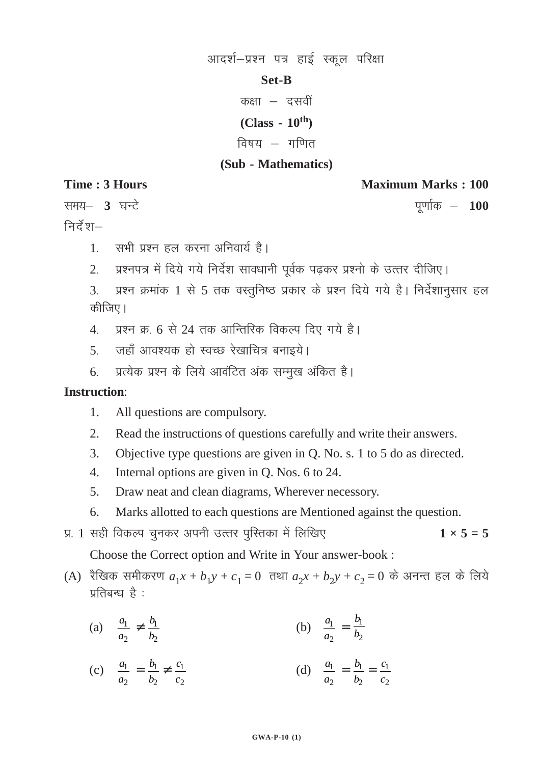# आदर्श-प्रश्न पत्र हाई स्कूल परिक्षा

### **Set-B**

कक्षा $-$ दसवीं

**(Class - 10th)**

विषय $-$ गणित

# **(Sub - Mathematics)**

**Time : 3 Hours Maximum Marks : 100** 

रामय– 3 घन्टे <del>समय कर क्षेत्र के साथ क्षेत्र के साथ क्षेत्र के प्र</del>णांक न

निर्देश $-$ 

- 1 सभी प्रश्न हल करना अनिवार्य है।
- 2. प्रश्नपत्र में दिये गये निर्देश सावधानी पूर्वक पढ़कर प्रश्नो के उत्तर दीजिए।
- 3. प्रश्न क्रमांक 1 से 5 तक वस्तुनिष्ठ प्रकार के प्रश्न दिये गये है। निर्देशानुसार हल कीजिए।
- 4. प्रश्न क्र. 6 से 24 तक आन्तिरिक विकल्प दिए गये है।
- 5. जहाँ आवश्यक हो स्वच्छ रेखाचित्र बनाइये।
- 6. प्रत्येक प्रश्न के लिये आवंटित अंक सम्मूख अंकित है।

# **Instruction**:

- 1. All questions are compulsory.
- 2. Read the instructions of questions carefully and write their answers.
- 3. Objective type questions are given in Q. No. s. 1 to 5 do as directed.
- 4. Internal options are given in Q. Nos. 6 to 24.
- 5. Draw neat and clean diagrams, Wherever necessory.
- 6. Marks allotted to each questions are Mentioned against the question.
- प्र. 1 सही विकल्प चुनकर अपनी उत्तर पुरितका में लिखिए त्यार स्वर्ग कर समय बार राज्य कर बार राज्य कर प्रश्न कर स

Choose the Correct option and Write in Your answer-book :

- (A) रैखिक समीकरण  $a_1x + b_1y + c_1 = 0$  तथा  $a_2x + b_2y + c_2 = 0$  के अनन्त हल के लिये प्रतिबन्ध $\dot{\vec{r}}$  :
	- (a)  $\frac{a_1}{a_1}$ 2 *a a*  $\neq \frac{v_1}{1}$  $\overline{c}$ *b*  $\frac{b_1}{b_2}$  (b)  $\frac{a_1}{a_2}$ *a a*  $=\frac{v_1}{h}$  $\overline{c}$ *b b*
	- (c)  $\frac{u_1}{u_1}$ 2 *a a*  $=\frac{\nu_1}{\nu_1}$  $\overline{c}$ *b b*  $\neq \frac{c_1}{c_2}$ 2 *c c* (d)  $\frac{u_1}{u_1}$ 2 *a a*  $=\frac{\nu_1}{\nu_1}$  $\overline{c}$ *b b*  $=\frac{c_1}{c_2}$ 2 *c c*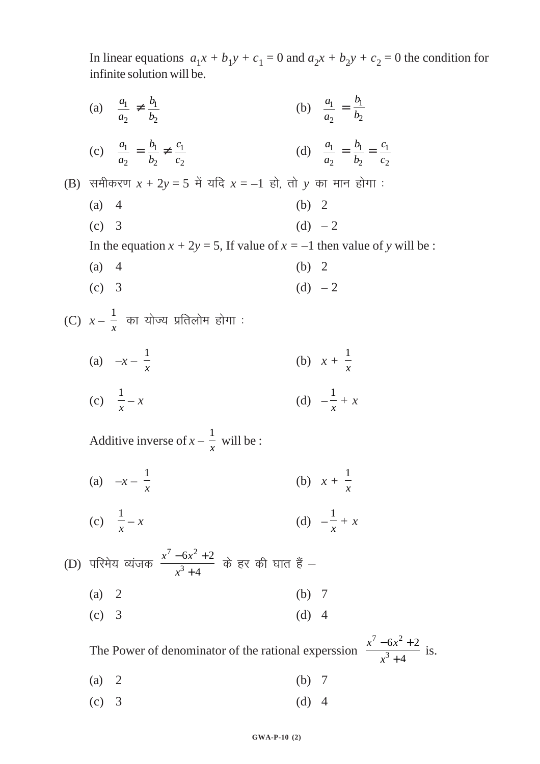In linear equations  $a_1x + b_1y + c_1 = 0$  and  $a_2x + b_2y + c_2 = 0$  the condition for infinite solution will be.

(a)  $\frac{a_1}{a_2} \neq \frac{b_1}{b_2}$ (b)  $\frac{a_1}{a_2} = \frac{b_1}{b_2}$ (d)  $\frac{a_1}{a_2} = \frac{b_1}{b_2} = \frac{c_1}{c_2}$ (c)  $\frac{a_1}{a_2} = \frac{b_1}{b_2} \neq \frac{c_1}{c_2}$ (B) समीकरण  $x + 2y = 5$  में यदि  $x = -1$  हो, तो  $y$  का मान होगा :  $(a)$  4  $(b) 2$  $(c)$  3  $(d) -2$ In the equation  $x + 2y = 5$ , If value of  $x = -1$  then value of y will be:  $(a)$  4  $(b) 2$ (d)  $-2$  $(c)$  3 (C)  $x - \frac{1}{x}$  का योज्य प्रतिलोम होगा : (a)  $-x-\frac{1}{x}$ (b)  $x + \frac{1}{x}$ (d)  $-\frac{1}{r} + x$ (c)  $\frac{1}{r} - x$ Additive inverse of  $x - \frac{1}{x}$  will be : (a)  $-x-\frac{1}{x}$ (b)  $x + \frac{1}{x}$ (d)  $-\frac{1}{r} + x$ (c)  $\frac{1}{r} - x$ (D) परिमेय व्यंजक  $\frac{x^7-6x^2+2}{x^3+4}$  के हर की घात हैं –  $(b) 7$  $(a) 2$  $(d)$  4  $(c)$  3 The Power of denominator of the rational experssion  $\frac{x^7 - 6x^2 + 2}{x^3 + 4}$  is.  $(a) 2$  $(b)$  7  $(c) 3$  $(d)$  4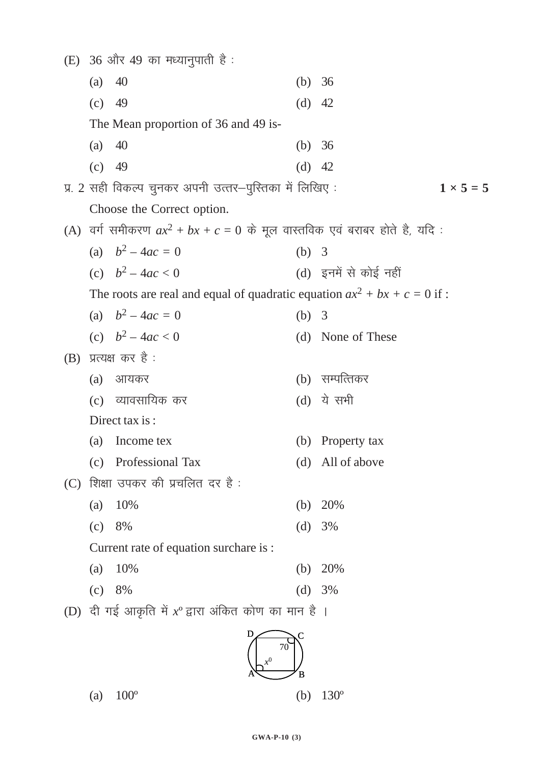|     |                   | (E) 36 और 49 का मध्यानुपाती है:                                              |          |                       |
|-----|-------------------|------------------------------------------------------------------------------|----------|-----------------------|
|     | (a)               | 40                                                                           | (b)      | 36                    |
|     | (c)               | 49                                                                           | $(d)$ 42 |                       |
|     |                   | The Mean proportion of 36 and 49 is-                                         |          |                       |
|     | (a)               | 40                                                                           | (b) $36$ |                       |
|     | $(c)$ 49          |                                                                              | $(d)$ 42 |                       |
|     |                   | प्र. 2 सही विकल्प चुनकर अपनी उत्तर—पुस्तिका में लिखिए :                      |          | $1 \times 5 = 5$      |
|     |                   | Choose the Correct option.                                                   |          |                       |
|     |                   | (A) वर्ग समीकरण $ax^2 + bx + c = 0$ के मूल वास्तविक एवं बराबर होते है, यदि : |          |                       |
|     |                   | (a) $b^2 - 4ac = 0$                                                          | (b) $3$  |                       |
|     |                   | (c) $b^2 - 4ac < 0$                                                          |          | (d) इनमें से कोई नहीं |
|     |                   | The roots are real and equal of quadratic equation $ax^2 + bx + c = 0$ if:   |          |                       |
|     |                   | (a) $b^2 - 4ac = 0$                                                          | (b) $3$  |                       |
|     |                   | (c) $b^2 - 4ac < 0$                                                          |          | (d) None of These     |
| (B) |                   | प्रत्यक्ष कर है :                                                            |          |                       |
|     | (a)               | आयकर                                                                         |          | (b) सम्पत्तिकर        |
|     |                   | (c) व्यावसायिक कर                                                            |          | (d) ये सभी            |
|     |                   | Direct tax is:                                                               |          |                       |
|     | (a)               | Income tex                                                                   | (b)      | Property tax          |
|     | (c)               | Professional Tax                                                             | (d)      | All of above          |
| (C) |                   | शिक्षा उपकर की प्रचलित दर है :                                               |          |                       |
|     | (a)               | 10%                                                                          | (b)      | 20%                   |
|     | (c)               | 8%                                                                           | (d)      | 3%                    |
|     |                   | Current rate of equation surchare is :                                       |          |                       |
|     | $\left( a\right)$ | 10%                                                                          | (b)      | 20%                   |
|     | (c)               | 8%                                                                           | (d)      | 3%                    |
|     |                   | (D) दी गई आकृति में $x^{\circ}$ द्वारा अंकित कोण का मान है ।                 |          |                       |
|     |                   | D<br>70                                                                      |          |                       |



(a)  $100^{\circ}$ 

(b)  $130^{\circ}$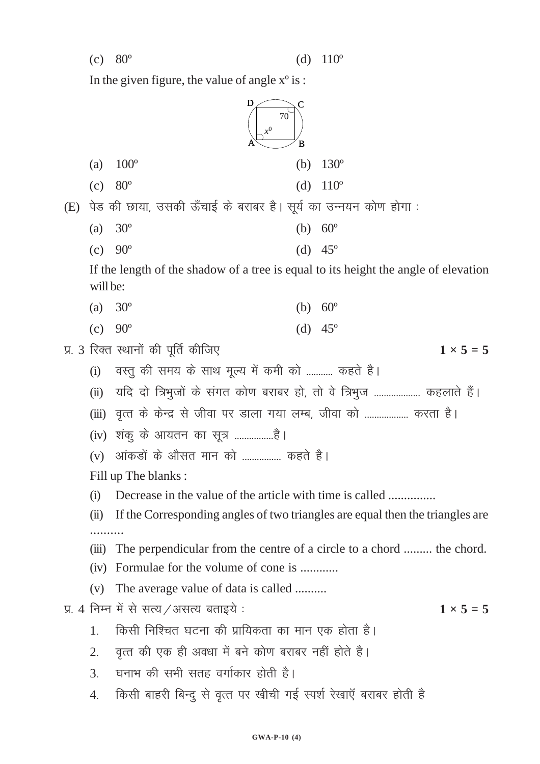In the given figure, the value of angle  $x^{\circ}$  is :

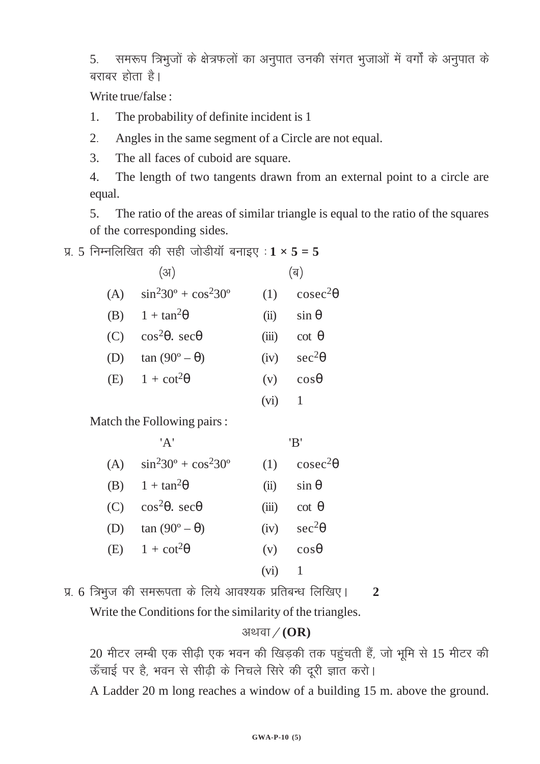5. समरूप त्रिभुजों के क्षेत्रफलों का अनुपात उनकी संगत भुजाओं में वर्गों के अनुपात के बराबर होता है।

Write true/false :

1. The probability of definite incident is 1

2- Angles in the same segment of a Circle are not equal.

3. The all faces of cuboid are square.

4. The length of two tangents drawn from an external point to a circle are equal.

5. The ratio of the areas of similar triangle is equal to the ratio of the squares of the corresponding sides.

प्र. 5 निम्नलिखित की सही जोडीयॉ बनाइए $: 1 \times 5 = 5$ 

| (3)                                     |                   | (ৰ)                |
|-----------------------------------------|-------------------|--------------------|
| (A) $\sin^2 30^\circ + \cos^2 30^\circ$ | (1)               | $\csc^2\theta$     |
| (B) $1 + \tan^2\theta$                  | (ii)              | $\sin \theta$      |
| (C) $\cos^2\theta$ , $\sec\theta$       |                   | (iii) cot $\theta$ |
| (D) $\tan (90^\circ - \theta)$          |                   | (iv) $sec^2\theta$ |
| (E) $1 + \cot^2\theta$                  |                   | $(v)$ $cos\theta$  |
|                                         | (v <sub>1</sub> ) |                    |

Match the Following pairs :

|     | 'A'                                 |          | 'R'                 |
|-----|-------------------------------------|----------|---------------------|
| (A) | $\sin^2 30^\circ + \cos^2 30^\circ$ |          | (1) $\csc^2\theta$  |
|     | (B) $1 + \tan^2\theta$              | (ii)     | $\sin \theta$       |
|     | (C) $\cos^2\theta$ , $\sec\theta$   |          | (iii) cot $\theta$  |
| (D) | $\tan(90^\circ - \theta)$           |          | (iv) $\sec^2\theta$ |
|     | (E) $1 + \cot^2\theta$              |          | $(v)$ $cos\theta$   |
|     |                                     | $(vi)$ 1 |                     |
|     |                                     |          |                     |

प्र. 6 त्रिभुज की समरूपता के लिये आवश्यक प्रतिबन्ध लिखिए। 2

Write the Conditions for the similarity of the triangles.

# अथवा / (OR)

20 मीटर लम्बी एक सीढ़ी एक भवन की खिड़की तक पहुंचती हैं, जो भूमि से 15 मीटर की ऊँचाई पर है, भवन से सीढ़ी के निचले सिरे की दूरी ज्ञात करो।

A Ladder 20 m long reaches a window of a building 15 m. above the ground.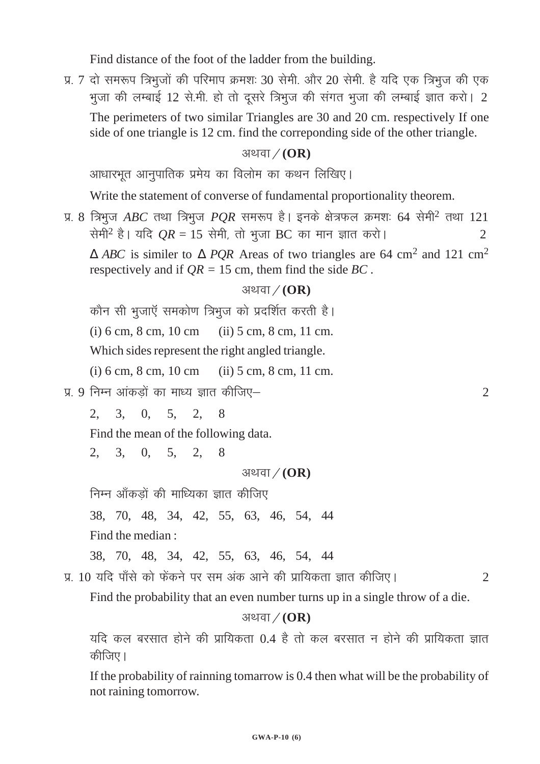Find distance of the foot of the ladder from the building.

प्र. 7 दो समरूप त्रिभूजों की परिमाप क्रमशः 30 सेमी. और 20 सेमी. है यदि एक त्रिभूज की एक भुजा की लम्बाई 12 से.मी. हो तो दूसरे त्रिभुज की संगत भुजा की लम्बाई ज्ञात करो। 2 The perimeters of two similar Triangles are 30 and 20 cm. respectively If one side of one triangle is 12 cm. find the correponding side of the other triangle.

# अथवा / (OR)

आधारभूत आनुपातिक प्रमेय का विलोम का कथन लिखिए।

Write the statement of converse of fundamental proportionality theorem.

प्र. 8 त्रिभुज *ABC* तथा त्रिभुज *PQR* समरूप है। इनके क्षेत्रफल क्रमशः 64 सेमी<sup>2</sup> तथा 121 सेमी<sup>2</sup> है। यदि  $OR = 15$  सेमी, तो भुजा BC का मान ज्ञात करो। ∆ *ABC* is similer to ∆ *PQR* Areas of two triangles are 64 cm2 and 121 cm2 respectively and if *QR =* 15 cm, them find the side *BC .*

# अथवा $/(OR)$

कौन सी भूजाएँ समकोण त्रिभुज को प्रदर्शित करती है।

(i) 6 cm, 8 cm, 10 cm (ii) 5 cm, 8 cm, 11 cm.

Which sides represent the right angled triangle.

(i) 6 cm, 8 cm, 10 cm (ii) 5 cm, 8 cm, 11 cm.

 $\bar{x}$ . 9 निम्न आंकडों का माध्य ज्ञात कीजिए– $\bar{x}$  and  $\bar{x}$  and  $\bar{x}$  and  $\bar{x}$  and  $\bar{x}$ 

2, 3, 0, 5, 2, 8

Find the mean of the following data.

2, 3, 0, 5, 2, 8

अथवा / (OR)

निम्न आँकड़ों की माध्यिका ज्ञात कीजिए

38, 70, 48, 34, 42, 55, 63, 46, 54, 44

Find the median :

```
38, 70, 48, 34, 42, 55, 63, 46, 54, 44
```
iz- 10 ;fn ik¡ls dks Qsadus ij le vad vkus dh izkf;drk Kkr dhft,A 2

Find the probability that an even number turns up in a single throw of a die.

# अथवा / (OR)

यदि कल बरसात होने की प्रायिकता 0.4 है तो कल बरसात न होने की प्रायिकता ज्ञात कीजिए।

If the probability of rainning tomarrow is 0.4 then what will be the probability of not raining tomorrow.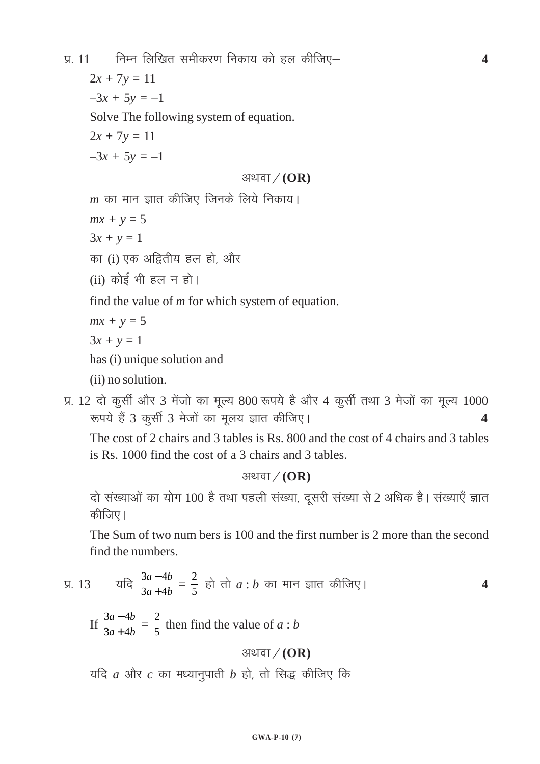iz- 11 fuEu fyf[kr lehdj.k fudk; dks gy dhft,& **4**

 $2x + 7y = 11$ 

 $-3x + 5y = -1$ 

Solve The following system of equation.

 $2x + 7y = 11$ 

 $-3x + 5y = -1$ 

## अथवा / (OR)

 $m$  का मान ज्ञात कीजिए जिनके लिये निकाय।

 $mx + y = 5$ 

 $3x + y = 1$ 

- का $(i)$  एक अद्वितीय हल हो, और
- (ii) कोई भी हल न हो।

find the value of *m* for which system of equation.

$$
mx + y = 5
$$

 $3x + y = 1$ 

has (i) unique solution and

(ii) no solution.

प्र. 12 दो कुर्सी और 3 मेंजो का मूल्य 800 रूपये है और 4 कुर्सी तथा 3 मेजों का मूल्य 1000 रूपये हैं 3 कुर्सी 3 मेजों का मूलय ज्ञात कीजिए।

The cost of 2 chairs and 3 tables is Rs. 800 and the cost of 4 chairs and 3 tables is Rs. 1000 find the cost of a 3 chairs and 3 tables.

अथवा $/(OR)$ 

दो संख्याओं का योग 100 है तथा पहली संख्या, दूसरी संख्या से 2 अधिक है। संख्याएँ ज्ञात कीजिए ।

The Sum of two num bers is 100 and the first number is 2 more than the second find the numbers.

प्र. 13 
$$
\frac{3a-4b}{3a+4b} = \frac{2}{5}
$$
  $\overrightarrow{a}$   $\overrightarrow{a}$   $\overrightarrow{a}$   $\overrightarrow{b}$   $\overrightarrow{a}$   $\overrightarrow{b}$   $\overrightarrow{b}$   $\overrightarrow{a}$ 

If  $\frac{3a-4}{3a+4}$  $a - 4b$  $a+4b$ −  $\frac{16}{+4b}$  = 2  $\frac{2}{5}$  then find the value of *a* : *b* 

# अथवा / (OR)

 $i$ यदि  $a$  और  $c$  का मध्यानुपाती  $b$  हो, तो सिद्ध कीजिए कि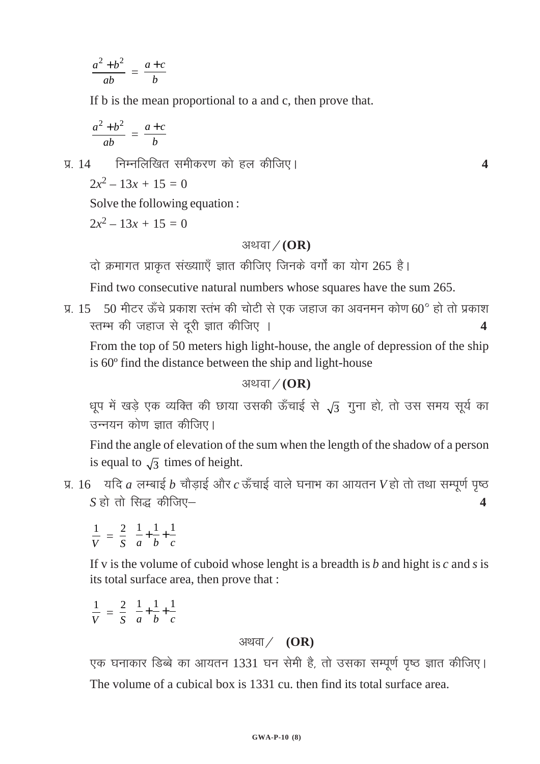$$
\frac{a^2 + b^2}{ab} = \frac{a+c}{b}
$$

If b is the mean proportional to a and c, then prove that.

$$
\frac{a^2 + b^2}{ab} = \frac{a+c}{b}
$$

निम्नलिखित समीकरण को हल कीजिए।  $\sqrt{4}$ 

$$
2x^2 - 13x + 15 = 0
$$

Solve the following equation:

 $2x^2-13x+15=0$ 

### अथवा $/(OR)$

 $\blacktriangle$ 

दो क्रमागत प्राकृत संख्यााएँ ज्ञात कीजिए जिनके वर्गों का योग 265 है।

Find two consecutive natural numbers whose squares have the sum 265.

प्र. 15 50 मीटर ऊँचे प्रकाश स्तंभ की चोटी से एक जहाज का अवनमन कोण 60° हो तो प्रकाश स्तम्भ की जहाज से दूरी ज्ञात कीजिए ।  $\overline{\mathbf{4}}$ 

From the top of 50 meters high light-house, the angle of depression of the ship is 60° find the distance between the ship and light-house

अथवा $/(OR)$ 

धूप में खड़े एक व्यक्ति की छाया उसकी ऊँचाई से  $\sqrt{3}$  गुना हो, तो उस समय सूर्य का उन्नयन कोण ज्ञात कीजिए।

Find the angle of elevation of the sum when the length of the shadow of a person is equal to  $\sqrt{3}$  times of height.

प्र.  $16$  यदि  $a$  लम्बाई  $b$  चौड़ाई और  $c$  ऊँचाई वाले घनाभ का आयतन  $V$ हो तो तथा सम्पूर्ण पृष्ठ  $S$  हो तो सिद्ध कीजिए $\blacktriangle$ 

 $\frac{1}{V} = \frac{2}{S} \left( \frac{1}{a} + \frac{1}{b} + \frac{1}{c} \right)$ 

If v is the volume of cuboid whose lenght is a breadth is  $b$  and hight is  $c$  and  $s$  is its total surface area, then prove that :

$$
\frac{1}{V} = \frac{2}{S} \left( \frac{1}{a} + \frac{1}{b} + \frac{1}{c} \right)
$$

# अथवा $/$  (OR)

एक घनाकार डिब्बे का आयतन 1331 घन सेमी है, तो उसका सम्पूर्ण पृष्ठ ज्ञात कीजिए। The volume of a cubical box is 1331 cu, then find its total surface area.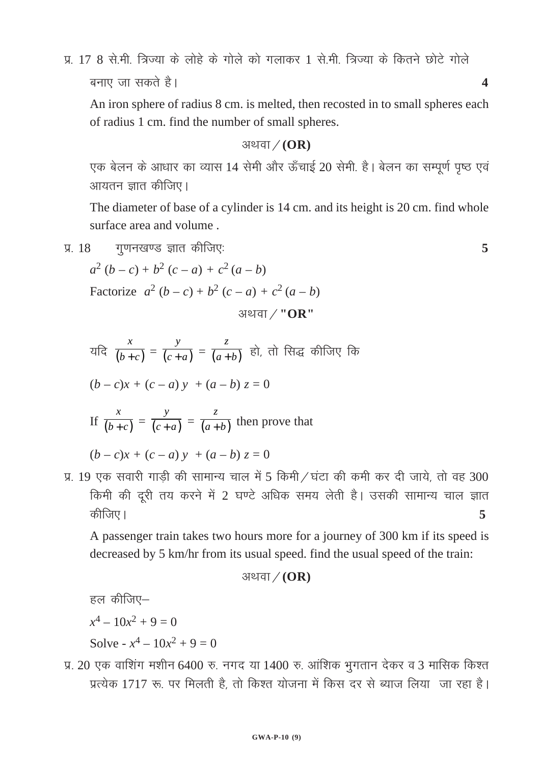प्र- 17 8 सेमी त्रिज्या के लोहे के गोले को गलाकर 1 सेमी त्रिज्या के कितने छोटे गोले बनाए जा सकते है।  $\sim$ 

An iron sphere of radius 8 cm. is melted, then recosted in to small spheres each of radius 1 cm. find the number of small spheres.

#### अथवा / (OR)

एक बेलन के आधार का व्यास 14 सेमी और ऊँचाई 20 सेमी. है। बेलन का सम्पूर्ण पृष्ठ एवं आयतन ज्ञात कीजिए।

The diameter of base of a cylinder is 14 cm. and its height is 20 cm. find whole surface area and volume .

$$
y. 18 \t yv1749 v3 3717 480 v3 5
$$

 $a^2 (b - c) + b^2 (c - a) + c^2 (a - b)$ Factorize  $a^2 (b - c) + b^2 (c - a) + c^2 (a - b)$ 

अथवा / "OR"

यदि 
$$
\frac{x}{(b+c)} = \frac{y}{(c+a)} = \frac{z}{(a+b)}
$$
 हो, तो सिद्ध कीजिए कि

$$
(b - c)x + (c - a)y + (a - b) z = 0
$$

If 
$$
\frac{x}{(b+c)} = \frac{y}{(c+a)} = \frac{z}{(a+b)}
$$
 then prove that

 $(b - c)x + (c - a)y + (a - b)z = 0$ 

प्र. 19 एक सवारी गाड़ी की सामान्य चाल में 5 किमी / घंटा की कमी कर दी जाये, तो वह 300 किमी की दूरी तय करने में 2 घण्टे अधिक समय लेती है। उसकी सामान्य चाल ज्ञात dhft,A **5**

A passenger train takes two hours more for a journey of 300 km if its speed is decreased by 5 km/hr from its usual speed. find the usual speed of the train:

#### अथवा $/(OR)$

```
हल कीजिए-
```

$$
x^4 - 10x^2 + 9 = 0
$$

Solve -  $x^4 - 10x^2 + 9 = 0$ 

प्र. 20 एक वाशिंग मशीन 6400 रु. नगद या 1400 रु. आंशिक भूगतान देकर व 3 मासिक किश्त प्रत्येक 1717 रू. पर मिलती है, तो किश्त योजना में किस दर से ब्याज लिया जा रहा है।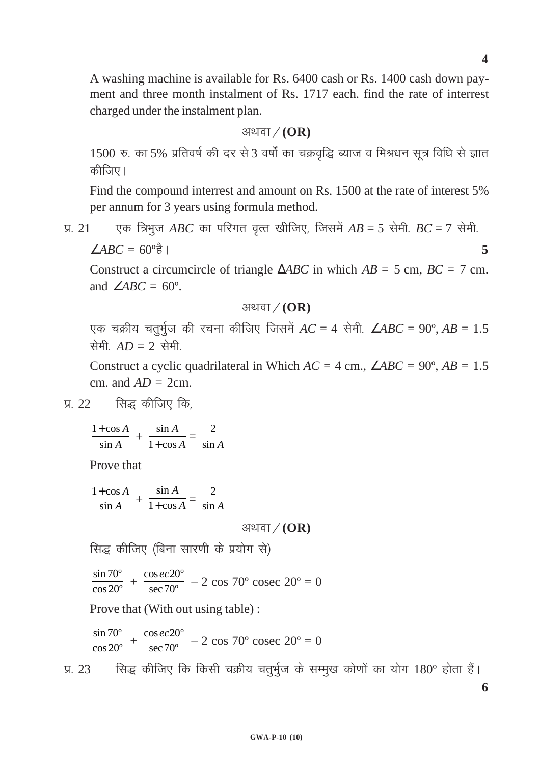A washing machine is available for Rs. 6400 cash or Rs. 1400 cash down payment and three month instalment of Rs. 1717 each. find the rate of interrest charged under the instalment plan.

अथवा / (OR)

 $1500$  रु. का 5% प्रतिवर्ष की दर से 3 वर्षों का चक्रवृद्धि ब्याज व मिश्रधन सूत्र विधि से ज्ञात कीजिए।

Find the compound interrest and amount on Rs. 1500 at the rate of interest 5% per annum for 3 years using formula method.

प्र. 21  $\sigma$  एक त्रिभुज *ABC* का परिगत वृत्त खीजिए, जिसमें  $AB = 5$  सेमी.  $BC = 7$  सेमी.  $\angle ABC = 60^{\circ}$ <del>s</del><sup>1</sup> **5** 

Construct a circumcircle of triangle ∆*ABC* in which *AB =* 5 cm, *BC =* 7 cm. and  $\angle ABC = 60^\circ$ .

अथवा 
$$
\diagup
$$
 (OR)

एक चक्रीय चतुर्भुज की रचना कीजिए जिसमें  $AC = 4$  सेमी.  $\angle ABC = 90^\circ$ ,  $AB = 1.5$ सेमी  $AD = 2$  सेमी

Construct a cyclic quadrilateral in Which  $AC = 4$  cm.,  $\angle ABC = 90^\circ$ ,  $AB = 1.5$ cm. and  $AD = 2$ cm.

प्र.  $22$  सिद्ध कीजिए कि.

$$
\frac{1+\cos A}{\sin A} + \frac{\sin A}{1+\cos A} = \frac{2}{\sin A}
$$

Prove that

$$
\frac{1+\cos A}{\sin A} + \frac{\sin A}{1+\cos A} = \frac{2}{\sin A}
$$

अथवा / **(OR)** 

सिद्ध कीजिए (बिना सारणी के प्रयोग से)

 $\frac{\sin 70^{\circ}}{\cos 20^{\circ}} + \frac{\cos ec 20^{\circ}}{\sec 70^{\circ}}$  $\frac{\cos ec 20^{\circ}}{\sec 70^{\circ}}$  – 2 cos 70° cosec 20° = 0

Prove that (With out using table) :

$$
\frac{\sin 70^{\circ}}{\cos 20^{\circ}} + \frac{\cos ec 20^{\circ}}{\sec 70^{\circ}} - 2 \cos 70^{\circ} \csc 20^{\circ} = 0
$$

प्र. 23 Fug कीजिए कि किसी चक्रीय चतुर्भुज के सम्मुख कोणों का योग 180° होता हैं।

**4**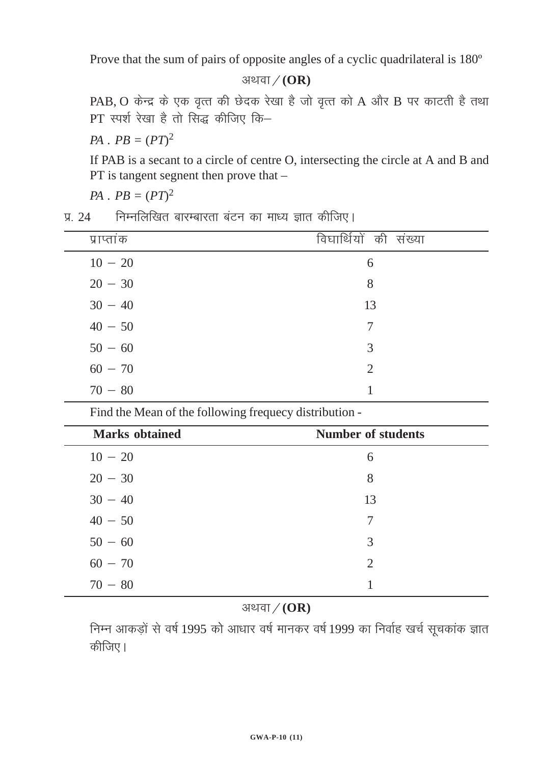Prove that the sum of pairs of opposite angles of a cyclic quadrilateral is 180º

अथवा / (OR)

 $PAB$ ,  $O$  केन्द्र के एक वृत्त की छेदक रेखा है जो वृत्त को  $A$  और  $B$  पर काटती है तथा PT स्पर्श रेखा है तो सिद्ध कीजिए कि-

*PA*  $\cdot$  *PB* =  $(PT)^2$ 

If PAB is a secant to a circle of centre O, intersecting the circle at A and B and PT is tangent segnent then prove that –

*PA*  $\cdot$  *PB* =  $(PT)^2$ 

<u>प्र. 24</u> fिम्नलिखित बारम्बारता बंटन का माध्य ज्ञात कीजिए।

| प्राप्तांक | विघार्थियों की संख्या |
|------------|-----------------------|
| $10 - 20$  | 6                     |
| $20 - 30$  | 8                     |
| $30 - 40$  | 13                    |
| $40 - 50$  | 7                     |
| $50 - 60$  | 3                     |
| $60 - 70$  | 2                     |
| $70 - 80$  |                       |

Find the Mean of the following frequecy distribution -

| <b>Marks</b> obtained | <b>Number of students</b> |
|-----------------------|---------------------------|
| $10 - 20$             | 6                         |
| $20 - 30$             | 8                         |
| $30 - 40$             | 13                        |
| $40 - 50$             | 7                         |
| $50 - 60$             | 3                         |
| $60 - 70$             | 2                         |
| $70 - 80$             |                           |

# अथवा / (OR)

निम्न आकड़ों से वर्ष 1995 को आधार वर्ष मानकर वर्ष 1999 का निर्वाह खर्च सूचकांक ज्ञात कीजिए।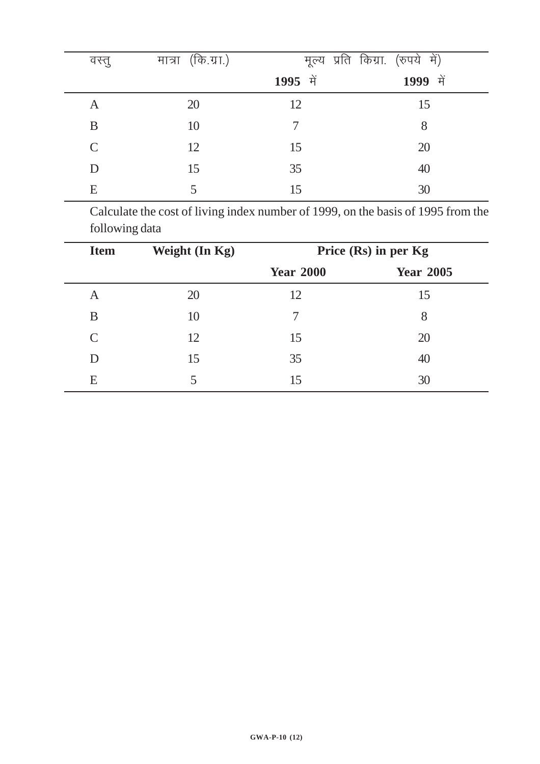| वस्तु         | मात्रा (कि.ग्रा.) |          | मूल्य प्रति किग्रा. (रुपये में) |
|---------------|-------------------|----------|---------------------------------|
|               |                   | 1995 में | 1999 में                        |
| A             | 20                | 12       | 15                              |
| B             | 10                |          | 8                               |
| $\mathcal{C}$ | 12                | 15       | 20                              |
| D             | 15                | 35       | 40                              |
| E             |                   | 15       | 30                              |

Calculate the cost of living index number of 1999, on the basis of 1995 from the following data

| <b>Item</b>   | Weight (In Kg) | Price (Rs) in per Kg |                  |  |
|---------------|----------------|----------------------|------------------|--|
|               |                | <b>Year 2000</b>     | <b>Year 2005</b> |  |
| A             | 20             | 12                   | 15               |  |
| B             | 10             | 7                    | 8                |  |
| $\mathcal{C}$ | 12             | 15                   | 20               |  |
|               | 15             | 35                   | 40               |  |
| E             | 5              | 15                   | 30               |  |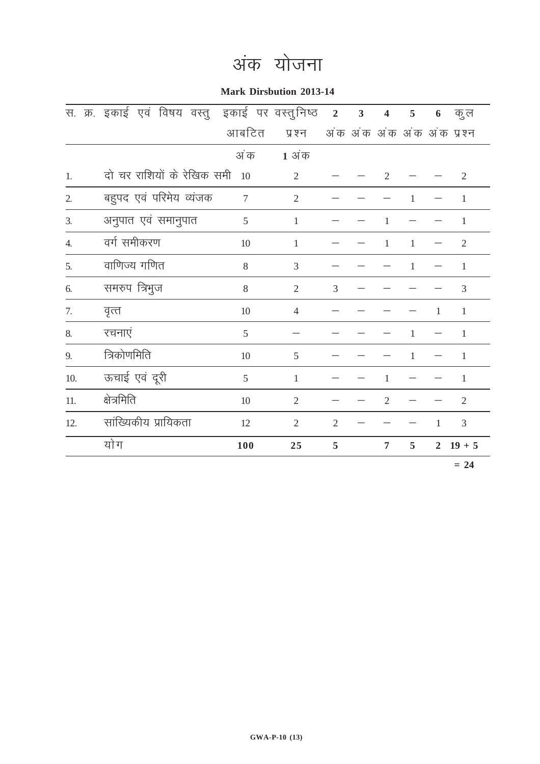# अंक योजना

**Mark Dirsbution 2013-14**

|                  | स. क्र. इकाई एवं विषय वस्तु इकाई पर वस्तुनिष्ठ |                |                | $\overline{2}$ | $\overline{\mathbf{3}}$ | $\overline{\mathbf{4}}$ | 5            | 6              | कु ल                       |
|------------------|------------------------------------------------|----------------|----------------|----------------|-------------------------|-------------------------|--------------|----------------|----------------------------|
|                  |                                                | आबटित          | प्रश्न         |                |                         |                         |              |                | अंक अंक अंक अंक अंक प्रश्न |
|                  |                                                | अं क           | 1 अंक          |                |                         |                         |              |                |                            |
| 1.               | दो चर राशियों के रेखिक समी                     | 10             | $\overline{2}$ |                |                         | $\overline{2}$          |              |                | $\overline{2}$             |
| 2.               | बहुपद एवं परिमेय व्यंजक                        | $\overline{7}$ | $\overline{2}$ |                |                         |                         | 1            |                | $\mathbf{1}$               |
| 3.               | अनुपात एवं समानुपात                            | 5              | $\mathbf{1}$   |                |                         | $\mathbf{1}$            |              |                | $\mathbf{1}$               |
| $\overline{4}$ . | वर्ग समीकरण                                    | 10             | $\mathbf{1}$   |                |                         | $\mathbf{1}$            | $\mathbf{1}$ |                | $\overline{2}$             |
| 5.               | वाणिज्य गणित                                   | 8              | 3              |                |                         |                         | 1            |                | $\mathbf{1}$               |
| 6.               | समरुप त्रिभुज                                  | 8              | $\mathfrak{2}$ | 3              |                         |                         |              |                | 3                          |
| 7.               | वृत्त                                          | 10             | $\overline{4}$ |                |                         |                         |              | 1              | 1                          |
| 8.               | रचनाएं                                         | 5              |                |                |                         |                         | 1            |                | 1                          |
| 9.               | त्रिकोणमिति                                    | 10             | 5              |                |                         |                         | 1            |                | $\mathbf{1}$               |
| 10.              | ऊचाई एवं दूरी                                  | 5              | $\mathbf{1}$   |                |                         | $\mathbf{1}$            |              |                | $\mathbf{1}$               |
| 11.              | क्षेत्रमिति                                    | 10             | $\overline{2}$ |                |                         | $\overline{2}$          |              |                | $\overline{2}$             |
| 12.              | सांख्यिकीय प्रायिकता                           | 12             | $\overline{2}$ | $\overline{2}$ |                         |                         |              | 1              | 3                          |
|                  | योग                                            | 100            | 25             | 5              |                         | $\overline{7}$          | 5            | $\overline{2}$ | $19 + 5$                   |
|                  |                                                |                |                |                |                         |                         |              |                | $= 24$                     |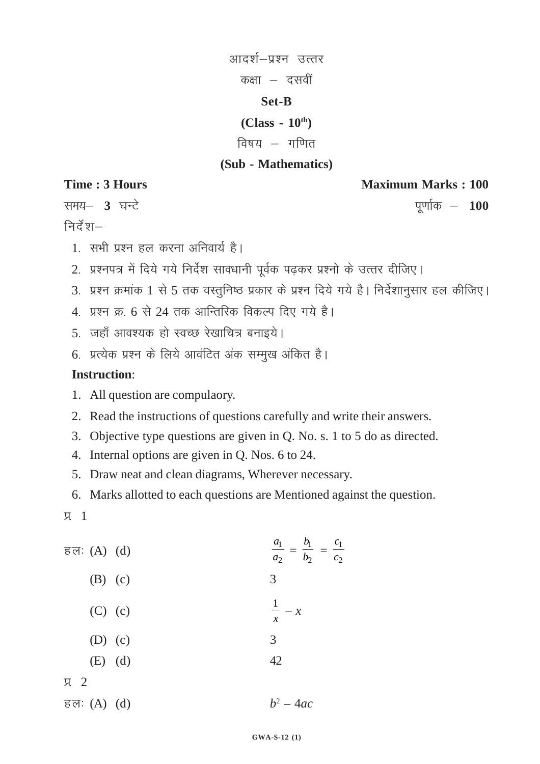आदर्श–प्रश्न उत्तर कक्षा $-$  दसवीं **Set-B**

# **(Class - 10th)**

# विषय $-$ गणित

# **(Sub - Mathematics)**

निर्देश $-$ 

**Time : 3 Hours Maximum Marks : 100** 

रामय– 3 घन्टे कर्कटक कर कर कर कर कर कर पूर्णाक – 100

- 1. सभी प्रश्न हल करना अनिवार्य है।
- 2. प्रश्नपत्र में दिये गये निर्देश सावधानी पूर्वक पढ़कर प्रश्नो के उत्तर दीजिए।
- 3. प्रश्न क्रमांक 1 से 5 तक वस्तुनिष्ठ प्रकार के प्रश्न दिये गये है। निर्देशानुसार हल कीजिए।
- 4. प्रश्न क्र. 6 से 24 तक आन्तिरिक विकल्प दिए गये है।
- 5. जहाँ आवश्यक हो स्वच्छ रेखाचित्र बनाइये।
- 6. प्रत्येक प्रश्न के लिये आवंटित अंक सम्मुख अंकित है।

# **Instruction**:

- 1. All question are compulaory.
- 2. Read the instructions of questions carefully and write their answers.
- 3. Objective type questions are given in Q. No. s. 1 to 5 do as directed.
- 4. Internal options are given in Q. Nos. 6 to 24.
- 5. Draw neat and clean diagrams, Wherever necessary.
- 6. Marks allotted to each questions are Mentioned against the question.
- $\overline{u}$  1

| हलः $(A)$ $(d)$ | $rac{a_1}{a_2} = \frac{b_1}{b_2} = \frac{c_1}{c_2}$ |
|-----------------|-----------------------------------------------------|
| $(B)$ (c)       | 3                                                   |
| $(C)$ (c)       | $\frac{1}{x}$ - x                                   |
| $(D)$ (c)       | 3                                                   |
| $(E)$ (d)       | 42                                                  |
| $\sqrt{2}$      |                                                     |
| हलः $(A)$ $(d)$ | $b^2 - 4ac$                                         |

#### **GWA-S-12 (1)**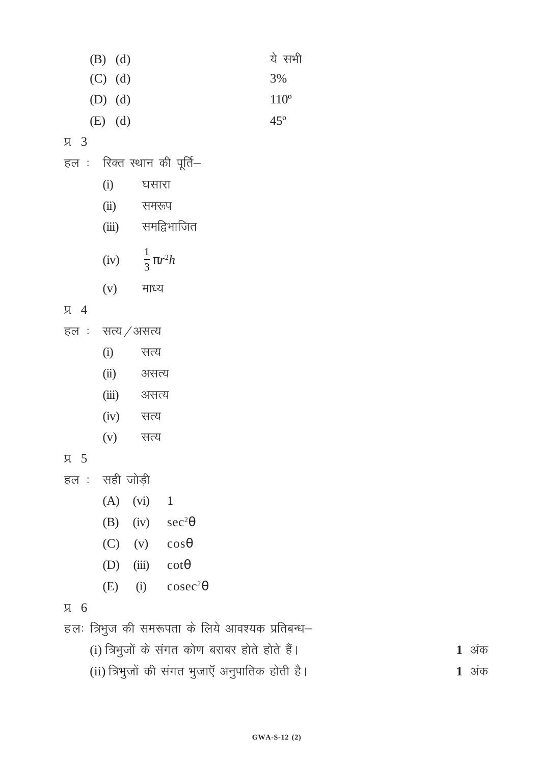| <b>∠⊾ ∪</b> |                                                  |                    |
|-------------|--------------------------------------------------|--------------------|
|             | हलः त्रिभुज की समरूपता के लिये आवश्यक प्रतिबन्ध– |                    |
|             | (i) त्रिभुजों के संगत कोण बराबर होते होते हैं।   | $1 \overline{3}$ क |
|             | (ii) त्रिभुजों की संगत भुजाएँ अनुपातिक होती है।  | 1 अंक              |
|             |                                                  |                    |

 $(D)$ 

 $(E)$ 

- $(B)$  (iv)  $sec^2\theta$
- $\overline{1}$
- 

 $(C)$  (v)  $cos\theta$ 

(iii)  $\cot\theta$ 

(i)  $\csc^2\theta$ 

- 
- 
- $(A)$  (vi)
- 
- 
- 
- हल : सही जोड़ी
- 
- $(v)$ सत्य
- $(iii)$ असत्य  $(iv)$ सत्य
- $(ii)$ असत्य
- सत्य
- $(i)$
- हल $:$  सत्य / असत्य
- $\sqrt{4}$

 $\overline{A}$  5

Л 6

- $(v)$ माध्य
- $rac{1}{3} \pi r^2 h$  $(iv)$
- समद्विभाजित  $(iii)$
- $(ii)$ समरूप
- $(i)$ घसारा

हल : रिक्त स्थान की पूर्ति–

- $\overline{A}$  3
- $(C)$  (d) 3%  $(D)$   $(d)$  $110^{\circ}$  $45^{\circ}$  $(E)$  (d)
- ये सभी  $(B)$   $(d)$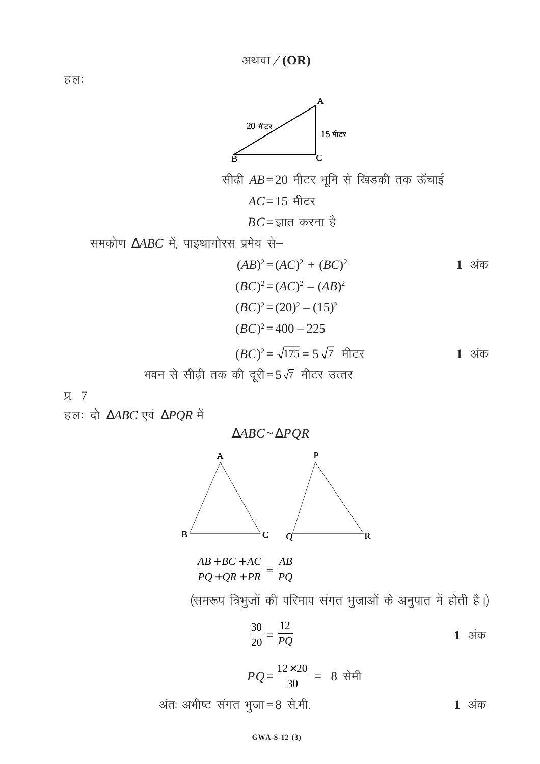हल:



सीढ़ी 
$$
AB = 20
$$
 मीटर भूमि से खिड़की तक ऊंचाई $AC = 15$  मीटर  
 $BC = \overline{3} \sin \theta$  इं

समकोण  $\triangle ABC$  में, पाइथागोरस प्रमेय से-

$$
(AB)^2 = (AC)^2 + (BC)^2
$$
  
\n
$$
(BC)^2 = (AC)^2 - (AB)^2
$$
  
\n
$$
(BC)^2 = (20)^2 - (15)^2
$$
  
\n
$$
(BC)^2 = 400 - 225
$$
  
\n
$$
(BC)^2 = \sqrt{175} = 5\sqrt{7}
$$
 \n The answer is 1. \n The answer is 1. \n The answer is 2. \n The answer is 3. \n The answer is 4. \n The answer is 4. \n The answer is 1. \n The answer is 4. \n The answer is 4. \n The answer is 4. \n The answer is 4. \n The answer is 4. \n The answer is 4. \n The answer is 4. \n The answer is 4. \n The answer is 4. \n The answer is 4. \n The answer is 4. \n The answer is 4. \n The answer is 4. \n The answer is 4. \n The answer is 4. \n The answer is 4. \n The answer is 4. \n The answer is 4. \n The answer is 4. \n The answer is 4. \n The answer is 4. \n The answer is 4. \n The answer is 4. \n The answer is 4. \n The answer is 4. \n The answer is 4. \n The answer is 4. \n The answer is 4. \n The answer is 4. \n The answer is 4. \n The answer is 4. \n The answer is 4. \n The answer is 4. \n The answer is 4. \n The answer is 4. \n The answer is 4. \n The answer is 4. \n The answer is 4. \n The answer is 4. \n The answer is 4. \n The answer is 4. \n The answer is 4. \n The answer is 4. \n The answer is 4. \n The answer is 4. \n The answer is 4. \n The answer is 4. \n The answer is 4. \n The answer is 4. \n The answer is 4. \n The answer is 4. \n The answer is 4. \n The answer is 4. \n The answer is 4. \n The answer is 4. \n The answer is 4. \n The answer

Я 7

हलः दो  $\triangle ABC$  एवं  $\triangle PQR$  में



 $\frac{AB+BC+AC}{PQ+QR+PR} = \frac{AB}{PQ}$ 

(समरूप त्रिभुजों की परिमाप संगत भुजाओं के अनुपात में होती है।)

 $\frac{30}{20} = \frac{12}{PQ}$ 1 अंक

$$
PQ = \frac{12 \times 20}{30} = 8 \text{ }\mathfrak{R} \mathfrak{H}
$$

अंतः अभीष्ट संगत भुजा=8 से.मी.  $1$  अंक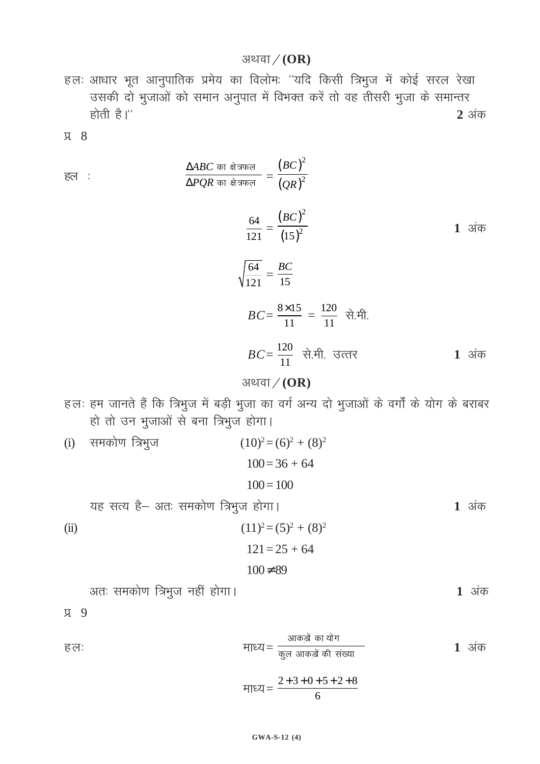#### अथवा $/(OR)$

हलः आधार भूत आनुपातिक प्रमेय का विलोमः "यदि किसी त्रिभुज में कोई सरल रेखा उसकी दो भुजाओं को समान अनुपात में विभक्त करें तो वह तीसरी भुजा के समान्तर होती है।'' 2 अंक

Я 8

$$
\frac{\Delta ABC \text{ on } \frac{a}{A} \text{ when}}{\Delta PQR \text{ on } \frac{a}{A} \text{ when}} = \frac{(BC)^2}{(QR)^2}
$$
\n
$$
\frac{64}{121} = \frac{(BC)^2}{(15)^2}
$$
\n
$$
\sqrt{\frac{64}{121}} = \frac{BC}{15}
$$
\n
$$
BC = \frac{8 \times 15}{11} = \frac{120}{11} \text{ õH.}
$$
\n
$$
BC = \frac{120}{11} \text{ òH.}
$$
\n
$$
35 \text{ F} \times (GP)
$$

### अथवा $/(OR)$

- हलः हम जानते हैं कि त्रिभुज में बड़ी भुजा का वर्ग अन्य दो भुजाओं के वर्गों के योग के बराबर हो तो उन भुजाओं से बना त्रिभुज होगा।
- (i) समकोण त्रिभुज  $(10)^2 = (6)^2 + (8)^2$  $100 = 36 + 64$  $100 = 100$ यह सत्य है- अतः समकोण त्रिभुज होगा।  $(11)^2 = (5)^2 + (8)^2$  $(ii)$

$$
121 = 25 + 64
$$
  

$$
100 \neq 89
$$

अतः समकोण त्रिभुज नहीं होगा।

д 9

हल:

$$
\text{HIEU} = \frac{\text{and }\text{and }\text{and}}{\text{and }\text{and }\text{and }\text{and}}
$$

$$
\text{HIEZ} = \frac{2+3+0+5+2+8}{6}
$$

1 अंक

1 अंक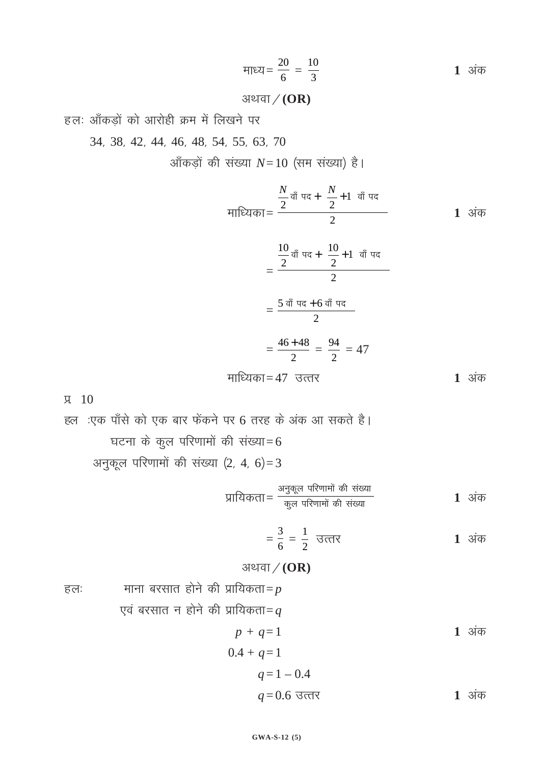$$
H1 = \frac{20}{6} = \frac{10}{3}
$$
 1 3 $\frac{1}{6}$ 

### अथवा / (OR)

हलः आँकड़ों को आरोही क्रम में लिखने पर

34] 38] 42] 44] 46] 48] 54] 55] 63] 70

आँकड़ों की संख्या *N*=10 (सम संख्या) है।

$$
\frac{N}{2} \frac{\vec{a} \cdot \vec{a}}{\vec{a} \cdot \vec{a}} = \frac{\frac{N}{2} \vec{a} \cdot \vec{a}}{2} = \frac{\frac{10}{2} \vec{a} \cdot \vec{a}}{2} = \frac{\frac{10}{2} \vec{a} \cdot \vec{a}}{2} = \frac{5 \vec{a} \cdot \vec{a}}{2} = \frac{46 + 48}{2} = \frac{94}{2} = 47
$$
\n  
\nHIIIEq<sub>3</sub> = 47 37.377 1 345

iz- 10

हल :एक पाँसे को एक बार फेंकने पर 6 तरह के अंक आ सकते है। घटना के कुल परिणामों की संख्या=6 अनुकूल परिणामों की संख्या  $(2, 4, 6) = 3$ 

izkf;drk<sup>=</sup> vudq yw ifj.kkek as dh l[a ;k dyq ifj.kkek as dh l[a ;k **<sup>1</sup>** vad

$$
=\frac{3}{6}=\frac{1}{2} \quad \text{and} \quad \text{and} \quad \text{and} \quad \text{and} \quad \text{and} \quad \text{and} \quad \text{and} \quad \text{and} \quad \text{and} \quad \text{and} \quad \text{and} \quad \text{and} \quad \text{and} \quad \text{and} \quad \text{and} \quad \text{and} \quad \text{and} \quad \text{and} \quad \text{and} \quad \text{and} \quad \text{and} \quad \text{and} \quad \text{and} \quad \text{and} \quad \text{and} \quad \text{and} \quad \text{and} \quad \text{and} \quad \text{and} \quad \text{and} \quad \text{and} \quad \text{and} \quad \text{and} \quad \text{and} \quad \text{and} \quad \text{and} \quad \text{and} \quad \text{and} \quad \text{and} \quad \text{and} \quad \text{and} \quad \text{and} \quad \text{and} \quad \text{and} \quad \text{and} \quad \text{and} \quad \text{and} \quad \text{and} \quad \text{and} \quad \text{and} \quad \text{and} \quad \text{and} \quad \text{and} \quad \text{and} \quad \text{and} \quad \text{and} \quad \text{and} \quad \text{and} \quad \text{and} \quad \text{and} \quad \text{and} \quad \text{and} \quad \text{and} \quad \text{and} \quad \text{and} \quad \text{and} \quad \text{and} \quad \text{and} \quad \text{and} \quad \text{and} \quad \text{and} \quad \text{and} \quad \text{and} \quad \text{and} \quad \text{and} \quad \text{and} \quad \text{and} \quad \text{and} \quad \text{and} \quad \text{and} \quad \text{and} \quad \text{and} \quad \text{and} \quad \text{and} \quad \text{and} \quad \text{and} \quad \text{and} \quad \text{and} \quad \text{and} \quad \text{and} \quad \text{and} \quad \text{and} \quad \text{and} \quad \text{and} \quad \text{and} \quad \text{and} \quad \text{and} \quad \text{and} \quad \text{and} \quad \text{and} \quad \text{and} \quad \text{and} \quad \text{and} \quad \text{and} \quad \text{and} \quad \text{and} \quad \
$$

## अथवा / (OR)

हलः साना बरसात होने की प्रायिकता $=p$ एवं बरसात न होने की प्रायिकता=*q* 

$$
p + q = 1
$$
  
0.4 + q = 1  
q = 1 - 0.4  
q = 0.6 उत्तर 1 अंक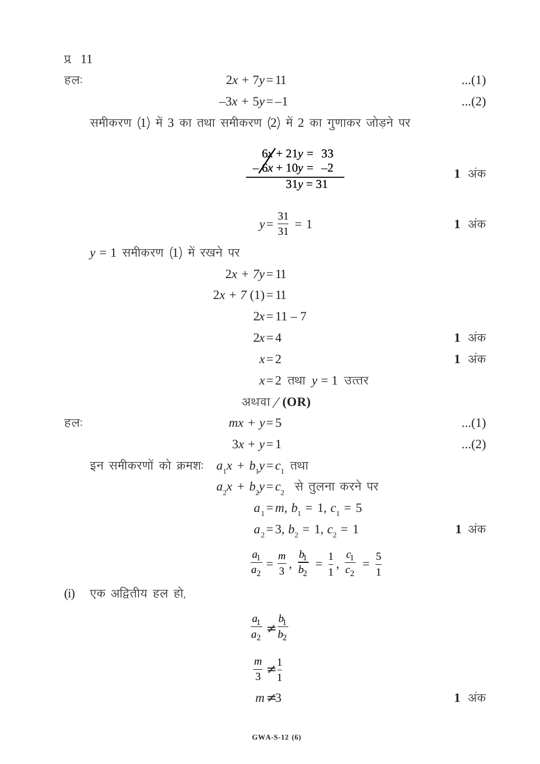iz- 11

हलः 2*x* + 7*y*=11 ...(1)

$$
-3x + 5y = -1
$$
 ...(2)

समीकरण (1) में 3 का तथा समीकरण (2) में 2 का गुणाकर जोड़ने पर

$$
6x + 21y = 33\n-6x + 10y = -2\n31y = 31
$$
 1 3i

$$
y = \frac{31}{31} = 1
$$
 1 3 $\frac{1}{3}$ 

 $y = 1$  समीकरण (1) में रखने पर

$$
2x + 7y = 11
$$
  
2x + 7(1) = 11  
2x = 11 - 7  
2x = 4  
1 3 $\frac{1}{4}$ 

 $x=2$  **1 3 1** 

 $x=2$  तथा  $y=1$  उत्तर

## अथवा $/(OR)$

$$
mx + y = 5
$$
...(1)

$$
3x + y = 1 \tag{2}
$$

gन समीकरणों को क्रमशः

\n
$$
a_1x + b_1y = c_1 \text{ तथा}
$$
\n
$$
a_2x + b_2y = c_2 \text{ }\overset{\frown}{\mathsf{d}}\overline{\underset{a_1 = m}{\mathsf{d}}} \overline{\underset{b_1 = 1}{\mathsf{d}}} \overline{\underset{c_1 = 5}{\mathsf{d}}} \overline{\underset{a_2 = 3}{\mathsf{d}}} \overline{\underset{b_2 = 1}{\mathsf{d}}} \overline{\underset{c_2 = 1}{\mathsf{d}}} \overline{\underset{c_1 = 5}{\mathsf{d}}} \overline{\underset{c_2 = 1}{\mathsf{d}}} \overline{\underset{c_2 = 5}{\mathsf{d}}} \overline{\underset{c_1 = 5}{\mathsf{d}}} \overline{\underset{c_2 = 1}{\mathsf{d}}} \overline{\underset{c_2 = 1}{\mathsf{d}}} \overline{\underset{c_1 = 5}{\mathsf{d}}} \overline{\underset{c_2 = 1}{\mathsf{d}}}
$$

(i) ,d vf}rh; gy gks]

$$
\frac{a_1}{a_2} \neq \frac{b_1}{b_2}
$$
\n
$$
\frac{m}{3} \neq \frac{1}{1}
$$
\n
$$
m \neq 3
$$
\n1 3i

1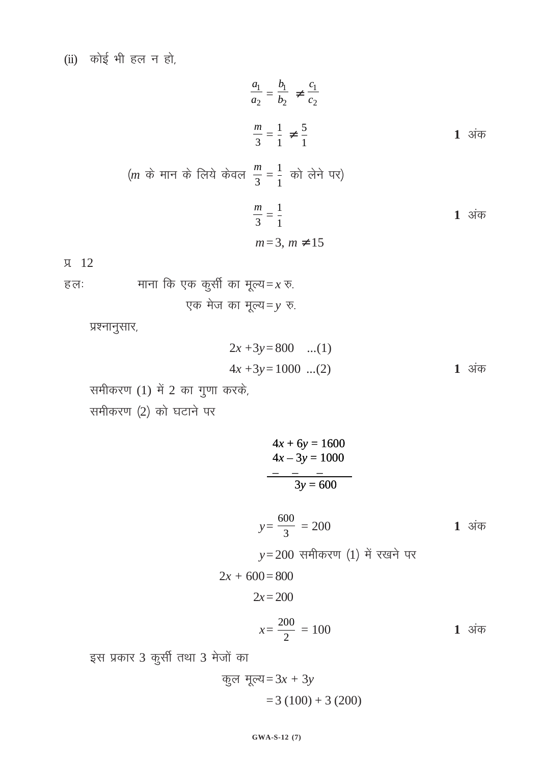(ii) 
$$
\overrightarrow{a}
$$
 ही भी हल न हो,

$$
\frac{a_1}{a_2} = \frac{b_1}{b_2} \neq \frac{c_1}{c_2}
$$
\n
$$
\frac{m}{3} = \frac{1}{1} \neq \frac{5}{1}
$$
\n
$$
\frac{m}{1} = \frac{1}{1} \neq \frac{5}{1}
$$
\n
$$
\frac{1}{1} \neq \frac{1}{1} \neq \frac{1}{1} \neq \frac{1}{1} \neq \frac{1}{1} \neq \frac{1}{1} \neq \frac{1}{1} \neq \frac{1}{1} \neq \frac{1}{1} \neq \frac{1}{1} \neq \frac{1}{1} \neq \frac{1}{1} \neq \frac{1}{1} \neq \frac{1}{1} \neq \frac{1}{1} \neq \frac{1}{1} \neq \frac{1}{1} \neq \frac{1}{1} \neq \frac{1}{1} \neq \frac{1}{1} \neq \frac{1}{1} \neq \frac{1}{1} \neq \frac{1}{1} \neq \frac{1}{1} \neq \frac{1}{1} \neq \frac{1}{1} \neq \frac{1}{1} \neq \frac{1}{1} \neq \frac{1}{1} \neq \frac{1}{1} \neq \frac{1}{1} \neq \frac{1}{1} \neq \frac{1}{1} \neq \frac{1}{1} \neq \frac{1}{1} \neq \frac{1}{1} \neq \frac{1}{1} \neq \frac{1}{1} \neq \frac{1}{1} \neq \frac{1}{1} \neq \frac{1}{1} \neq \frac{1}{1} \neq \frac{1}{1} \neq \frac{1}{1} \neq \frac{1}{1} \neq \frac{1}{1} \neq \frac{1}{1} \neq \frac{1}{1} \neq \frac{1}{1} \neq \frac{1}{1} \neq \frac{1}{1} \neq \frac{1}{1} \neq \frac{1}{1} \neq \frac{1}{1} \neq \frac{1}{1} \neq \frac{1}{1} \neq \frac{1}{1} \neq \frac{1}{1} \neq \frac{1}{1} \neq \frac{1}{1} \neq \frac{1}{1} \neq \frac{1}{1} \neq \frac{1}{1} \neq \frac{1}{1} \neq \frac{1}{1} \ne
$$

$$
(m \quad \vec{\phi} \quad \vec{\theta} \text{ } m = \vec{\phi} \text{ } [\vec{\phi} \text{ } \vec{\phi}] \text{ } \vec{\phi} \text{ } \vec{\phi} \text{ } \vec{\phi} \text{ } \vec{\phi} \text{ } \vec{\phi} \text{ } \vec{\phi} \text{ } \vec{\phi} \text{ } \vec{\phi} \text{ } \vec{\phi} \text{ } \vec{\phi} \text{ } \vec{\phi} \text{ } \vec{\phi} \text{ } \vec{\phi} \text{ } \vec{\phi} \text{ } \vec{\phi} \text{ } \vec{\phi} \text{ } \vec{\phi} \text{ } \vec{\phi} \text{ } \vec{\phi} \text{ } \vec{\phi} \text{ } \vec{\phi} \text{ } \vec{\phi} \text{ } \vec{\phi} \text{ } \vec{\phi} \text{ } \vec{\phi} \text{ } \vec{\phi} \text{ } \vec{\phi} \text{ } \vec{\phi} \text{ } \vec{\phi} \text{ } \vec{\phi} \text{ } \vec{\phi} \text{ } \vec{\phi} \text{ } \vec{\phi} \text{ } \vec{\phi} \text{ } \vec{\phi} \text{ } \vec{\phi} \text{ } \vec{\phi} \text{ } \vec{\phi} \text{ } \vec{\phi} \text{ } \vec{\phi} \text{ } \vec{\phi} \text{ } \vec{\phi} \text{ } \vec{\phi} \text{ } \vec{\phi} \text{ } \vec{\phi} \text{ } \vec{\phi} \text{ } \vec{\phi} \text{ } \vec{\phi} \text{ } \vec{\phi} \text{ } \vec{\phi} \text{ } \vec{\phi} \text{ } \vec{\phi} \text{ } \vec{\phi} \text{ } \vec{\phi} \text{ } \vec{\phi} \text{ } \vec{\phi} \text{ } \vec{\phi} \text{ } \vec{\phi} \text{ } \vec{\phi} \text{ } \vec{\phi} \text{ } \vec{\phi} \text{ } \vec{\phi} \text{ } \vec{\phi} \text{ } \vec{\phi} \text{ } \vec{\phi} \text{ } \vec{\phi} \text{ } \vec{\phi} \text{ } \vec{\phi} \text{ } \vec{\phi} \text{ } \vec{\phi} \text{ } \vec{\phi} \text{ } \vec{\phi} \text{ } \vec{\phi} \text{ } \vec{\phi} \text{ } \vec{\phi} \text{ } \vec{\phi} \text{ } \vec{\phi} \text{ } \vec{\phi} \text{ } \vec{\phi} \text{ }
$$

**д** 12

हलः   
माना कि एक कुर्सी का मूल्य=
$$
x
$$
 रु.  
एक मेज का मूल्य= $y$  रु.

प्रश्नानुसार,

$$
2x + 3y = 800 \dots (1)
$$
  
4x + 3y = 1000 \dots (2) 1 3 $\dot{a}$ 

समीकरण (1) में 2 का गुणा करके,

समीकरण (2) को घटाने पर

$$
4x + 6y = 1600
$$
  

$$
4x - 3y = 1000
$$
  

$$
3y = 600
$$

 $y = \frac{600}{3} = 200$  $1 \overline{31}$ 

1 अंक

 $y=200$  समीकरण (1) में रखने पर

$$
2x + 600 = 800
$$
  

$$
2x = 200
$$
  

$$
x = \frac{200}{2} = 100
$$

इस प्रकार 3 कुर्सी तथा 3 मेजों का

कुल मूल्य = 
$$
3x + 3y
$$
  
= 3 (100) + 3 (200)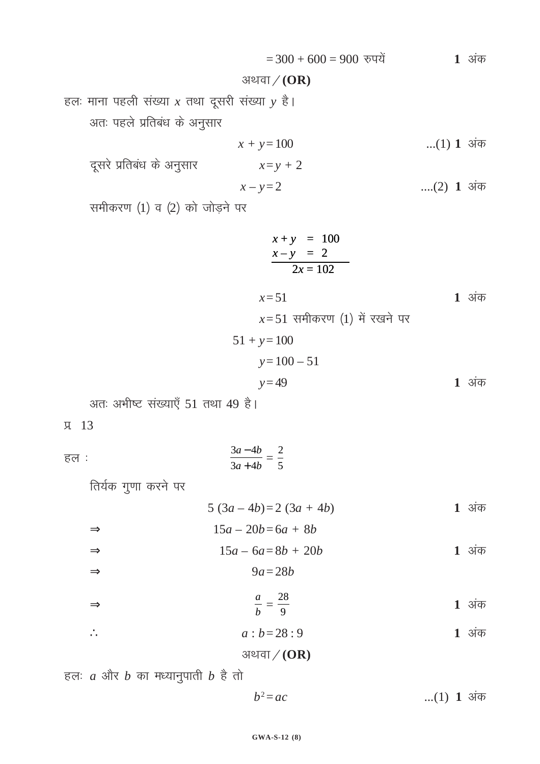$= 300 + 600 = 900$  रुपयें 1 अंक

अथवा 
$$
\diagup
$$
 (OR)

हलः माना पहली संख्या  $x$  तथा दूसरी संख्या  $y$  है। अतः पहले प्रतिबंध के अनुसार

$$
x + y = 100
$$
 ...(1) 1 3i $\overline{\sigma}$   

$$
x = y + 2
$$

$$
x - y = 2
$$
 ... (2) 1  $3\overline{4}$ 

समीकरण  $(1)$  व  $(2)$  को जोड़ने पर

दूसरे प्रतिबंध के अनुसार

$$
x + y = 100
$$
  
\n
$$
x - y = 2
$$
  
\n
$$
2x = 102
$$
  
\n
$$
x = 51
$$
  
\n
$$
x = 51
$$
 {1 3iab  
\n
$$
51 + y = 100
$$
  
\n
$$
y = 100 - 51
$$
  
\n
$$
y = 49
$$
 {1 3iab

अतः अभीष्ट संख्याएँ 51 तथा 49 है।

 $\overline{u}$  13

⇒

$$
\frac{3a-4b}{3a+4b} = \frac{2}{5}
$$

तिर्यक गुणा करने पर

$$
5(3a-4b)=2(3a+4b)
$$
 1 3 $\frac{1}{4}$ 

$$
\Rightarrow \qquad 15a - 20b = 6a + 8b
$$

$$
\Rightarrow \qquad 15a - 6a = 8b + 20b \qquad 1 \text{ sign}
$$
\n
$$
\Rightarrow \qquad 9a = 28b
$$

$$
\frac{a}{b} = \frac{28}{9}
$$
 1 3 $\frac{1}{3}$ 

$$
\therefore \qquad a:b=28:9 \qquad \qquad 1 \text{ sign}
$$

# अथवा $/(OR)$

हलः  $a$  और  $b$  का मध्यानुपाती  $b$  है तो

$$
b^2 = ac
$$
 ...(1) 1  $3\overline{q}$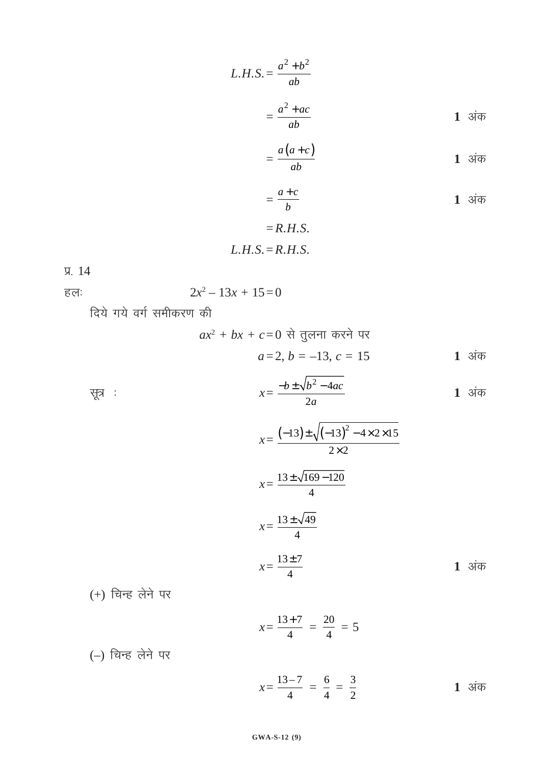$$
L.H.S. = \frac{a^2 + b^2}{ab}
$$

$$
= \frac{a^2 + ac}{ab}
$$
1 3 $\frac{a}{b}$ 

$$
=\frac{a(a+c)}{ab}
$$
 1 3 $\dot{a}$ 

$$
=\frac{a+c}{b}
$$
 **1**  $\overline{34\varphi}$   
=R.H.S.

$$
L.H.S.=R.H.S.
$$

iz- 14

हलः  $2x^2 - 13x + 15 = 0$ 

दिये गये वर्ग समीकरण की

$$
ax^2 + bx + c = 0
$$
 से तुलना करने पर  
 $a = 2, b = -13, c = 15$ 

सूत्र : 
$$
x = \frac{-b \pm \sqrt{b^2 - 4ac}}{2a}
$$
 1 अंक

$$
x = \frac{(-13) \pm \sqrt{(-13)^2 - 4 \times 2 \times 15}}{2 \times 2}
$$
  

$$
x = \frac{13 \pm \sqrt{169 - 120}}{4}
$$
  

$$
x = \frac{13 \pm \sqrt{49}}{4}
$$
  

$$
x = \frac{13 \pm 7}{4}
$$
 1 3~~i~~

 $(+)$  चिन्ह लेने पर

$$
x = \frac{13+7}{4} = \frac{20}{4} = 5
$$

 $(-)$  चिन्ह लेने पर

$$
x = \frac{13 - 7}{4} = \frac{6}{4} = \frac{3}{2}
$$
 1 3 $\frac{1}{4}$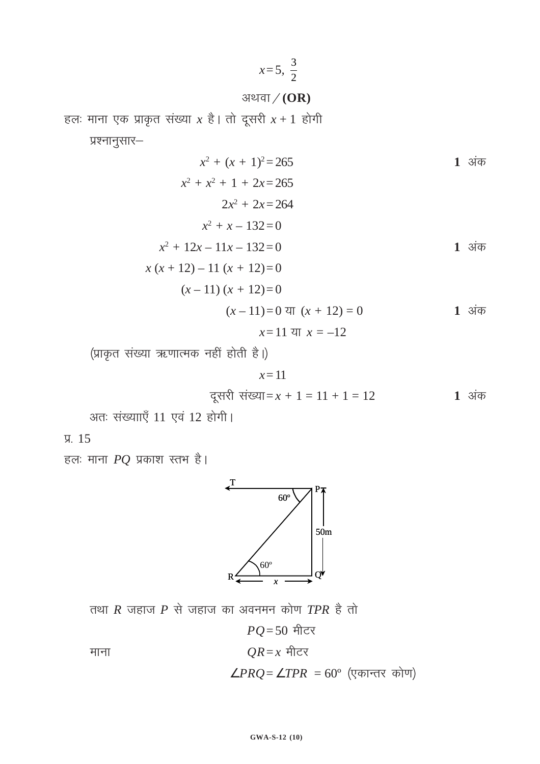$$
x=5, \ \frac{3}{2}
$$

अथवा $/(OR)$ 

हलः माना एक प्राकृत संख्या  $x$  है। तो दूसरी  $x + 1$  होगी

प्रश्नानुसार—

$$
x^{2} + (x + 1)^{2} = 265
$$
  
\n
$$
x^{2} + x^{2} + 1 + 2x = 265
$$
  
\n
$$
2x^{2} + 2x = 264
$$
  
\n
$$
x^{2} + x - 132 = 0
$$
  
\n
$$
x^{2} + 12x - 11x - 132 = 0
$$
  
\n
$$
x(x + 12) - 11 (x + 12) = 0
$$
  
\n
$$
(x - 11) (x + 12) = 0
$$
  
\n
$$
(x - 11) = 0
$$
 or 
$$
(x + 12) = 0
$$
  
\n
$$
x = 11
$$
 or 
$$
x = -12
$$

(प्राकृत संख्या ऋणात्मक नहीं होती है।)

$$
x=11
$$

दूसरी संख्या = 
$$
x + 1 = 11 + 1 = 12
$$
 1 अंक

अतः संख्यााएँ 11 एवं 12 होगी।

**у.** 15

हलः माना  $PQ$  प्रकाश स्तभ है।



तथा  $R$  जहाज  $P$  से जहाज का अवनमन कोण  $TPR$  है तो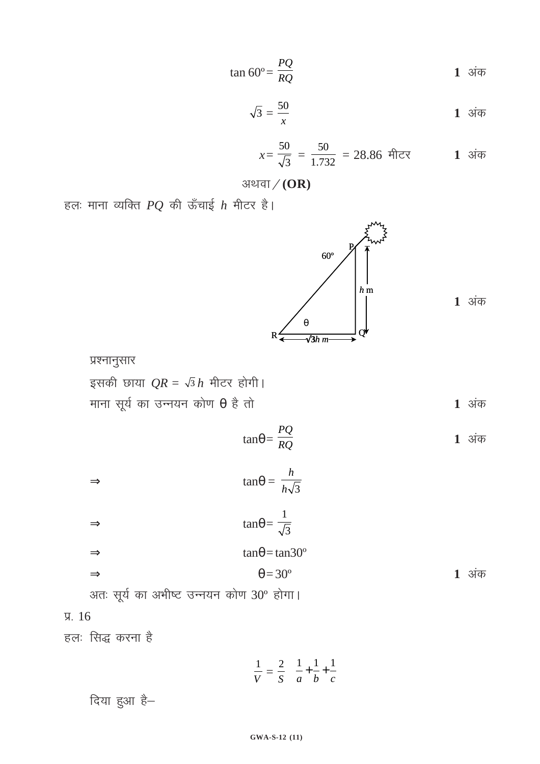दिया हुआ है-

 $\frac{1}{V} = \frac{2}{S}$  $1 \t1 \t1$  $\left(\frac{1}{a} + \frac{1}{b} + \frac{1}{c}\right)$ 

iz- 16

हलः सिद्ध करना है

 $\Rightarrow$   $\theta = 30^{\circ}$  1 अंक अतः सूर्य का अभीष्ट उन्नयन कोण 30° होगा।

 $\Rightarrow$  tan $\theta = \frac{n}{h\sqrt{3}}$ *h h*

 $\Rightarrow$  tan $\theta = \frac{1}{\sqrt{3}}$ 

 $\Rightarrow$  tan $\theta$  = tan30°

इसकी छाया  $QR = \sqrt{3} h$  मीटर होगी। माना सूर्य का उन्नयन कोण  $\theta$  है तो  $tan\theta = \frac{PQ}{RO}$ 





 $\frac{PQ}{RQ}$  **1** अंक

अथवा $/(OR)$ हलः माना व्यक्ति  $PQ$  की ऊँचाई  $h$  मीटर है।

*x=*

50

$$
\sqrt{3} = \frac{50}{x}
$$
 1 3 $\overline{4}$ 

 $\frac{0}{3}$  =  $\frac{50}{1.732}$  = 28.86 मीटर **1** अंक

 $1$  अंक

$$
\sqrt{3} = \frac{50}{x}
$$
 1 3 $\dot{q}$ 

$$
\tan 60^\circ = \frac{PQ}{RQ}
$$
 1  $\text{sign}$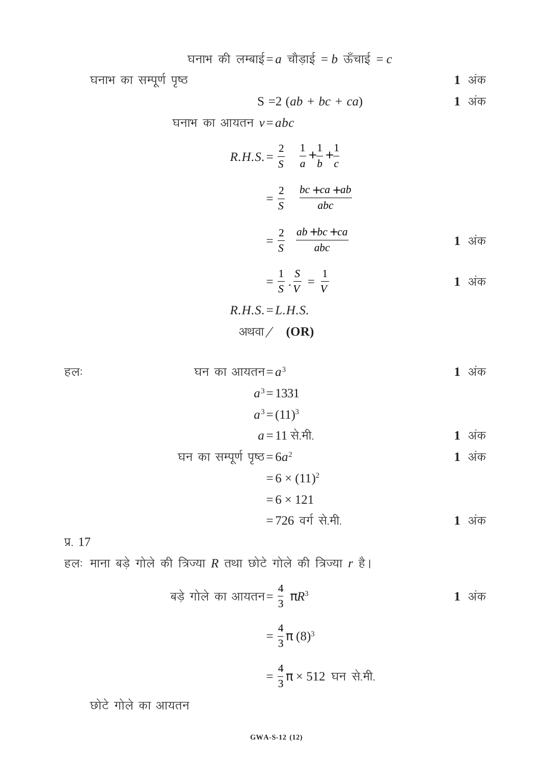घनाभ की लम्बाई=
$$
a
$$
 चौड़ाई =  $b$  ऊँचाई =  $c$ 

घनाभ का सम्पूर्ण पृष्ठ

 $S = 2(ab + bc + ca)$  **1** अंक

घनाभ का आयतन  $v = abc$ 

$$
R.H.S. = \frac{2}{S} \left( \frac{1}{a} + \frac{1}{b} + \frac{1}{c} \right)
$$

$$
= \frac{2}{S} \left( \frac{bc + ca + ab}{abc} \right)
$$

$$
= \frac{2}{S} \left( \frac{ab + bc + ca}{abc} \right)
$$
1 3 $\frac{1}{S}$ 

$$
=\frac{1}{S}\cdot\frac{S}{V}=\frac{1}{V}
$$
 1 3 $\frac{1}{S}$ 

$$
R.H.S.=L.H.S.
$$
  
3121 (OR)

हलः स्वास्था का आयतन $=a^3$  1 अंक

$$
a^3 = 1331
$$

 $a^3 = (11)^3$ 

$$
a = 11 \text{ }\mathbf{\hat{H}}.\mathbf{\hat{H}}.
$$
 1  $\text{ }\mathbf{\hat{31}}\mathbf{\hat{47}}$ 

घन का सम्पूर्ण पृष्ठ = 
$$
6a^2
$$
  
=  $6 \times (11)^2$  1 अंक

$$
= 6 \times 121
$$
  
= 726  $\overline{a}$  यो  $\overline{d}$ . $\overline{d}$ . 1  $3\overline{a}$ 

y. 17

हलः माना बड़े गोले की त्रिज्या  $R$  तथा छोटे गोले की त्रिज्या  $r$  है।

$$
aξ \text{ in } \hat{\sigma} \text{ in } \hat{\sigma} \text{ in } \hat{\sigma} = \frac{4}{3} πR^3
$$
\n
$$
= \frac{4}{3} π (8)^3
$$
\n
$$
= \frac{4}{3} π × 512 \text{ if } \hat{\sigma} \text{ in } \hat{\sigma}.
$$
\n1 3

छोटे गोले का आयतन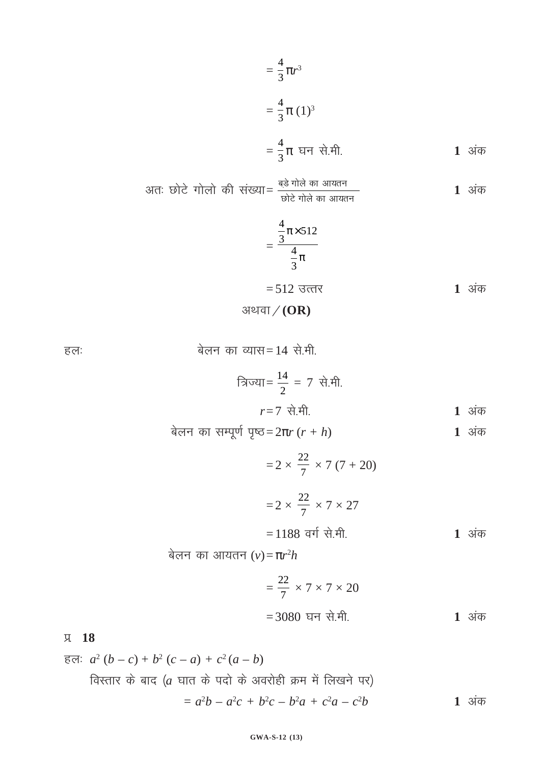$$
= \frac{4}{3}\pi r^{3}
$$
  
=  $\frac{4}{3}\pi (1)^{3}$   
=  $\frac{4}{3}\pi$   $\pi \neq \pi$ .  
1 3 $\pi$ 

अतः छोटे गोलो की संख्या= 
$$
\frac{बड़े गोले का आयतन
$$
  
कोटे गोलो की संख्या =  $\frac{1}{60}$  कोटे गोले का आयतन

$$
=\frac{\frac{4}{3}\pi \times 512}{\frac{4}{3}\pi}
$$
  
=512 उत्तर  
अथवा / (OR)

हलः  $\overline{q}$  and  $\overline{q}$  and  $\overline{q}$  and  $\overline{q}$  and  $\overline{q}$  and  $\overline{q}$  and  $\overline{q}$  and  $\overline{q}$  and  $\overline{q}$  and  $\overline{q}$  and  $\overline{q}$  and  $\overline{q}$  and  $\overline{q}$  and  $\overline{q}$  and  $\overline{q}$  and  $\overline{q}$  and  $\overline{q}$ 

त्रिज्या = 
$$
\frac{14}{2} = 7 \text{ से.मी.
$$
  
 $r=7 \text{ से.मी.}$  1 अंक

csyu dk lEiw.kZ i`"B= 2π*r* (*r + h*) **1** vad

 $= 2 \times \frac{22}{7} \times 7 (7 + 20)$  $= 2 \times$ 22  $\frac{22}{7} \times 7 \times 27$  $= 1188$  वर्ग से.मी. **1** अंक बेलन का आयतन (ν)= $\pi r^2 h$ 

$$
=\frac{22}{7} \times 7 \times 7 \times 20
$$
  
= 3080 घन से.मी. 1 अंक

# iz- **18**

हलः 
$$
a^2 (b - c) + b^2 (c - a) + c^2 (a - b)
$$
  
विस्तार के बाद (*a* घात के पदो के अवरोही क्रम में लिखने पर)  
=  $a^2b - a^2c + b^2c - b^2a + c^2a - c^2b$  1 अंक

#### **GWA-S-12 (13)**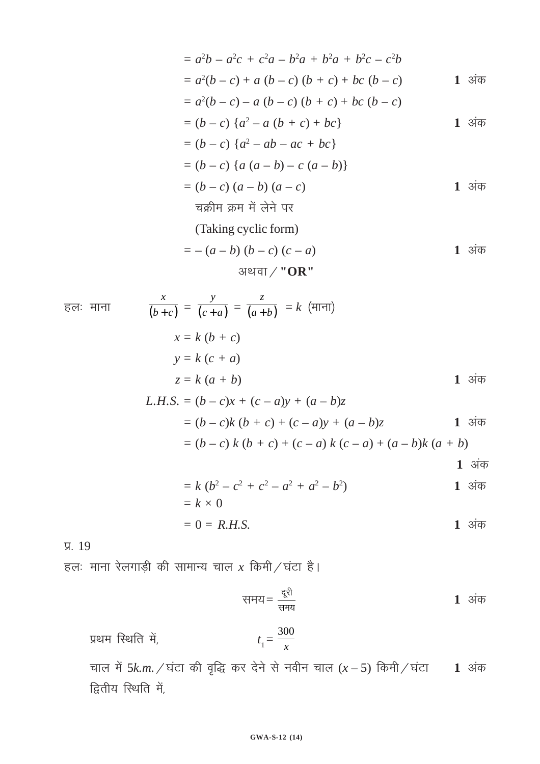$$
= a2b - a2c + c2a - b2a + b2a + b2c - c2b
$$
  
\n
$$
= a2(b - c) + a (b - c) (b + c) + bc (b - c)
$$
  
\n
$$
= a2(b - c) - a (b - c) (b + c) + bc (b - c)
$$
  
\n
$$
= (b - c) {a2 - a (b + c) + bc}
$$
  
\n
$$
= (b - c) {a2 - ab - ac + bc}
$$
  
\n
$$
= (b - c) {a (a - b) - c (a - b)}
$$
  
\n
$$
= (b - c) (a - b) (a - c)
$$
  
\n
$$
= \frac{1}{a} \sinh(\pi + a) + \frac{1}{b} \sin(\pi - a)
$$
  
\n
$$
= (a - b) (b - c) (c - a)
$$
  
\n
$$
= (a - b) (b - c) (c - a)
$$
  
\n
$$
= 1 \sin(\pi - a)
$$

अथवा 
$$
/
$$
 "OR"

Eq: HITI

\n
$$
\frac{x}{(b+c)} = \frac{y}{(c+a)} = \frac{z}{(a+b)} = k \text{ (Hint)}
$$
\n
$$
x = k (b + c)
$$
\n
$$
y = k (c + a)
$$
\n
$$
z = k (a + b)
$$
\nL.H.S. = (b - c)x + (c - a)y + (a - b)z

\n
$$
= (b - c)k (b + c) + (c - a)y + (a - b)z
$$
\n
$$
= (b - c) k (b + c) + (c - a) k (c - a) + (a - b) k (a + b)
$$
\n
$$
= k (b2 - c2 + c2 - a2 + a2 - b2)
$$
\n1

\n3

$$
= k (b2 - c2 + c2 - a2 + a2 - b2)
$$
  
= k \times 0

$$
= 0 = R.H.S.
$$

 $\overline{y}$ . 19

हलः माना रेलगाड़ी की सामान्य चाल  $x$  किमी $\overline{/}$ घंटा है।

समय = 
$$
\frac{d^{20} \pi}{d^{20} \pi^2}
$$
 1 अंक

प्रथम स्थिति में, 
$$
t_1 = \frac{300}{x}
$$

चाल में 5k.m. / घंटा की वृद्धि कर देने से नवीन चाल  $(x - 5)$  किमी / घंटा 1 अंक द्वितीय स्थिति में,

#### GWA-S-12 (14)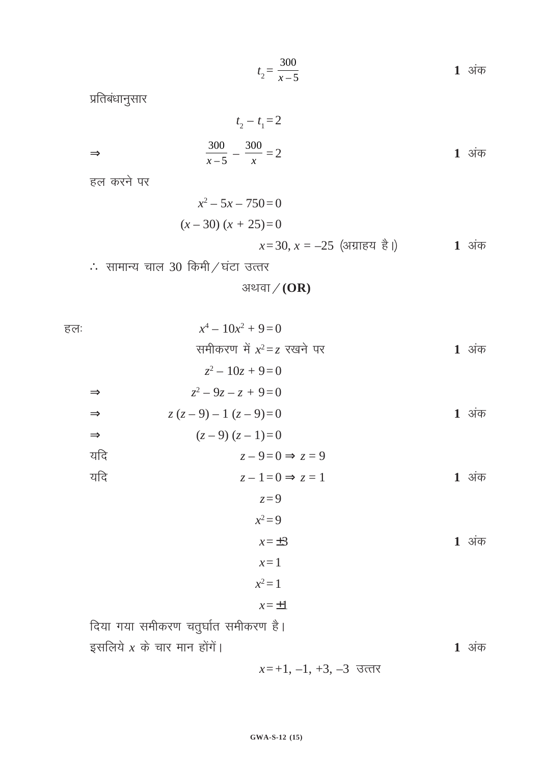$$
t_2 = \frac{300}{x-5}
$$
 1 3 $\dot{q}$ 

प्रतिबंधानुसार

$$
t_2 - t_1 = 2
$$
\n
$$
\Rightarrow \qquad \frac{300}{x - 5} - \frac{300}{x} = 2
$$
\n1 3 $\pi$ 

हल करने पर

$$
x^{2}-5x-750=0
$$
  
(x-30) (x + 25)=0  
x=30, x = -25 (अग्राहय है |) 1 अंक

 $\therefore$  सामान्य चाल 30 किमी $\angle$ घंटा उत्तर

अथवा $/(OR)$ 

हल:  $x^4$  $x^4 - 10x^2 + 9 = 0$ समीकरण में  $x^2 = z$  रखने पर **1** अंक  $z^2 - 10z + 9 = 0$  $\Rightarrow$   $z^2$  $z^2 - 9z - z + 9 = 0$ ⇒  $z(z-9)-1(z-9)=0$  1 अंक  $\Rightarrow$   $(z-9)(z-1)=0$  $z - 9 = 0 \implies z = 9$ यदि  $z - 1 = 0$  ⇒  $z = 1$  1 अंक *z=*9  $x^2 = 9$  $x=\pm 3$  **1** 3 $\overline{a}$ *x=*1  $x^2 = 1$ *x=*±1 दिया गया समीकरण चतुर्घात समीकरण है। इसलिये  $x$  के चार मान होंगें।

*x*=+1, -1, +3, -3 उत्तर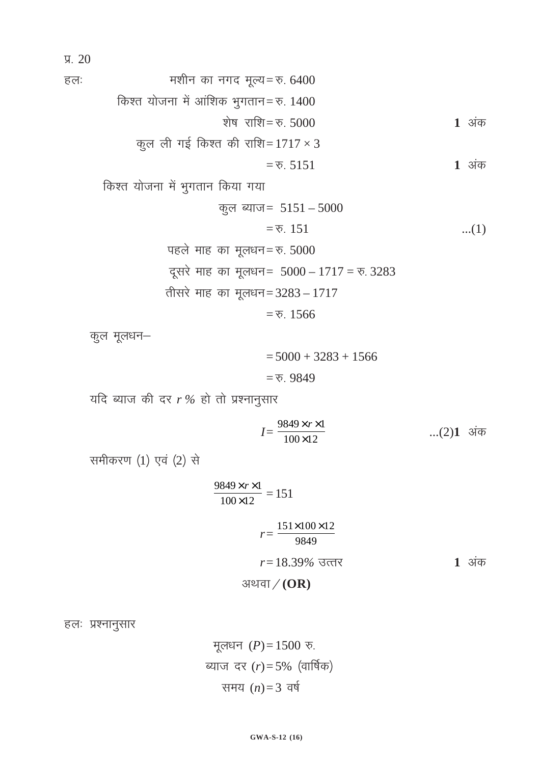$\sqrt{4}$ . 20

gy% e'khu dk uxn ewY;=#- 6400 fd'r ;kstuk esa vkaf'kd Hkqxrku=#- 1400 'ks"k jkf'k=#- 5000 **1** vad dqy yh xbZ fd'r dh jkf'k= 1717 × 3 =#- 5151 **1** vad

किश्त योजना में भुगतान किया गया

$$
\frac{1}{2}
$$
\n
$$
\frac{1}{2}
$$
\n
$$
=
$$
\n
$$
\frac{1}{2}
$$
\n
$$
=
$$
\n
$$
\frac{1}{2}
$$
\n
$$
\frac{1}{2}
$$
\n
$$
\frac{1}{2}
$$
\n
$$
\frac{1}{2}
$$
\n
$$
\frac{1}{2}
$$
\n
$$
\frac{1}{2}
$$
\n
$$
\frac{1}{2}
$$
\n
$$
\frac{1}{2}
$$
\n
$$
\frac{1}{2}
$$
\n
$$
\frac{1}{2}
$$
\n
$$
\frac{1}{2}
$$
\n
$$
\frac{1}{2}
$$
\n
$$
\frac{1}{2}
$$
\n
$$
\frac{1}{2}
$$
\n
$$
\frac{1}{2}
$$
\n
$$
\frac{1}{2}
$$
\n
$$
\frac{1}{2}
$$
\n
$$
\frac{1}{2}
$$
\n
$$
\frac{1}{2}
$$
\n
$$
\frac{1}{2}
$$
\n
$$
\frac{1}{2}
$$
\n
$$
\frac{1}{2}
$$
\n
$$
\frac{1}{2}
$$
\n
$$
\frac{1}{2}
$$
\n
$$
\frac{1}{2}
$$
\n
$$
\frac{1}{2}
$$
\n
$$
\frac{1}{2}
$$
\n
$$
\frac{1}{2}
$$
\n
$$
\frac{1}{2}
$$
\n
$$
\frac{1}{2}
$$
\n
$$
\frac{1}{2}
$$
\n
$$
\frac{1}{2}
$$
\n
$$
\frac{1}{2}
$$
\n
$$
\frac{1}{2}
$$
\n
$$
\frac{1}{2}
$$
\n
$$
\frac{1}{2}
$$
\n
$$
\frac{1}{2}
$$
\n
$$
\frac{1}{2}
$$
\n
$$
\frac{1}{2}
$$
\n
$$
\frac{1}{2}
$$
\n
$$
\frac{1}{2}
$$
\n
$$
\frac{1}{2}
$$
\n
$$
\frac{1}{2}
$$
\n
$$
\frac{1}{2}
$$
\n
$$
\frac{1}{2}
$$
\n
$$
\frac{1}{2}
$$
\n
$$
\frac
$$

igys ekg dk ewy/ku=#- 5000 nwljs ekg dk ewy/ku= 5000 – 1717 = #- 3283 rhljs ekg dk ewy/ku= 3283 – 1717

 $=$   $\overline{6}$ . 1566

कुल मूलधन–

 $= 5000 + 3283 + 1566$  $=$   $\overline{6}$ . 9849

यदि ब्याज की दर  $r$ % हो तो प्रश्नानुसार

$$
I = \frac{9849 \times r \times 1}{100 \times 12} \qquad \qquad \dots (2) \mathbf{1} \text{ sign}
$$

समीकरण  $(1)$  एवं  $(2)$  से

$$
\frac{9849 \times r \times 1}{100 \times 12} = 151
$$
  

$$
r = \frac{151 \times 100 \times 12}{9849}
$$
  

$$
r = 18.39\% \text{ 36} = 13.39\%
$$
 1 34

हलः प्रश्नानुसार

मूलधन (*P*) = 1500 रु. ब्याज दर  $(r)$ = 5% (वार्षिक) समय $(n)=3$  वर्ष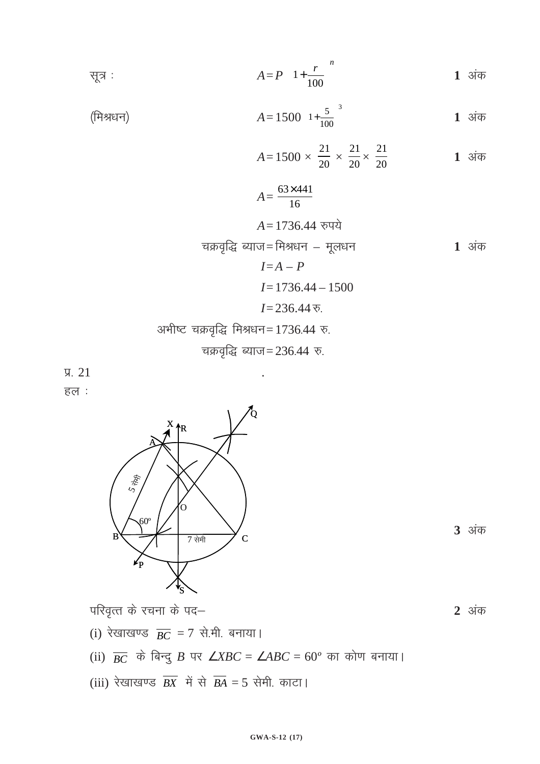सूत्र : 
$$
A = P \left( 1 + \frac{r}{100} \right)^n
$$
 1 अंक

(मिश्रधन) 
$$
A = 1500 \left(1 + \frac{5}{100}\right)^3
$$
 1 अंक

$$
A = 1500 \times \frac{21}{20} \times \frac{21}{20} \times \frac{21}{20}
$$
 1 3~~1~~

$$
A = \frac{63 \times 441}{16}
$$
  

$$
A = 1736.44 \text{ } \text{and}
$$

चक्रवृद्धि ब्याज= मिश्रधन – मूलधन **1** अंक  

$$
I=A-P
$$

$$
I = 1736.44 - 1500
$$

$$
I = 236.44 \, \overline{v}
$$
.

अभीष्ट चक्रवृद्धि मिश्रधन=1736.44 रु.

 $\sqrt{9}$ . 21

हल :



परिवृत्त के रचना के पद–

- (i) रेखाखण्ड  $\overline{BC} = 7$  से.मी. बनाया।
- (ii)  $\overline{BC}$  के बिन्दु B पर  $\angle XBC = \angle ABC = 60^\circ$  का कोण बनाया।
- (iii) रेखाखण्ड  $\overline{BX}$  में से  $\overline{BA} = 5$  सेमी. काटा।



**2** अंक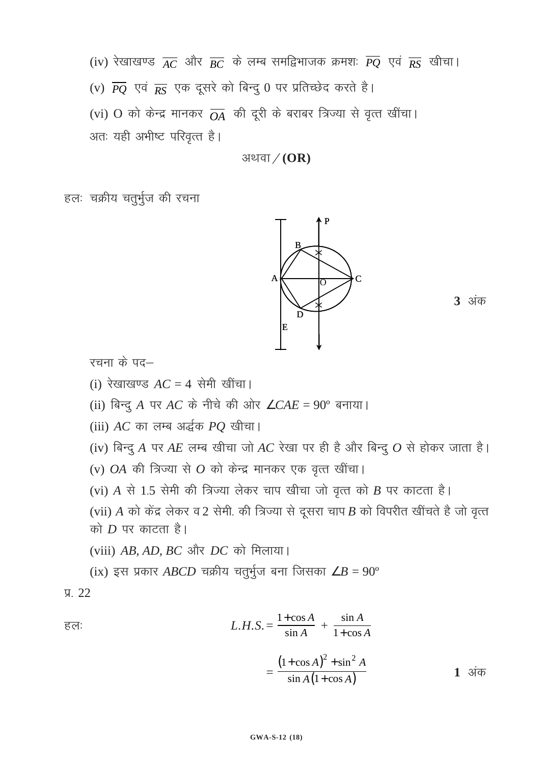(iv) रेखाखण्ड  $\overline{AC}$  और  $\overline{BC}$  के लम्ब समद्विभाजक क्रमशः  $\overline{PQ}$  एवं  $\overline{RS}$  खीचा।

(v)  $\overline{PQ}$  एवं  $\overline{RS}$  एक दूसरे को बिन्दु 0 पर प्रतिच्छेद करते है।

(vi) O को केन्द्र मानकर  $\overline{OA}$  की दूरी के बराबर त्रिज्या से वृत्त खींचा।

अतः यही अभीष्ट परिवृत्त है।

अथवा $/(OR)$ 

हलः चक्रीय चतुर्भुज की रचना



**3** अंक

रचना के पद—

(i) रेखाखण्ड  $AC = 4$  सेमी खींचा।

(ii) बिन्दु A पर AC के नीचे की ओर  $\angle CAE = 90^\circ$  बनाया।

(iii) AC का लम्ब अर्द्धक PO खीचा।

(iv) बिन्दु A पर AE लम्ब खीचा जो AC रेखा पर ही है और बिन्दु  $O$  से होकर जाता है।

(v)  $OA$  की त्रिज्या से  $O$  को केन्द्र मानकर एक वृत्त खींचा।

(vi) A से 1.5 सेमी की त्रिज्या लेकर चाप खीचा जो वृत्त को B पर काटता है।

(vii) A को केंद्र लेकर व 2 सेमी. की त्रिज्या से दूसरा चाप B को विपरीत खींचते है जो वृत्त को  $D$  पर काटता है।

(viii) AB, AD, BC और DC को मिलाया।

(ix) इस प्रकार ABCD चक्रीय चतुर्भुज बना जिसका  $\angle B = 90^{\circ}$ 

### $\sqrt{9}$  22

$$
\overline{\epsilon}\overline{\epsilon}\overline{\epsilon}
$$
\n
$$
L.H.S. = \frac{1+\cos A}{\sin A} + \frac{\sin A}{1+\cos A}
$$
\n
$$
(1+\cos A)^{2} + \sin^{2} A
$$

 $1 \overline{31}$ क

 $\sin A(1+\cos A)$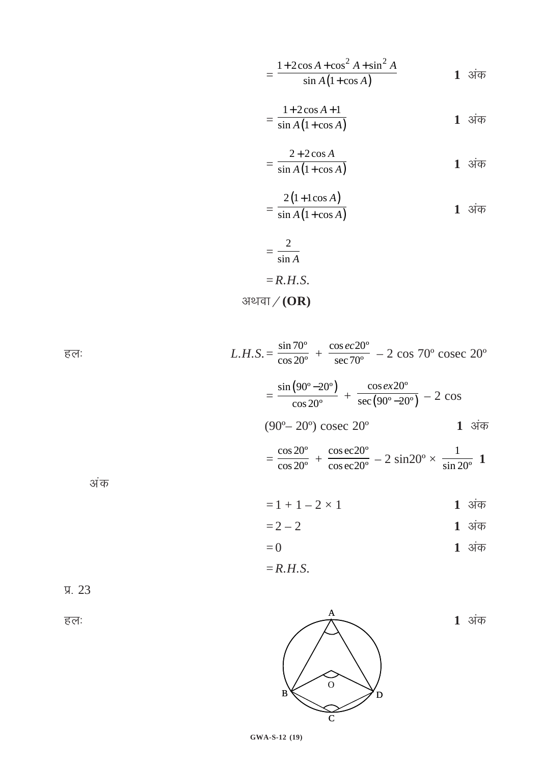$$
=\frac{1+2\cos A+\cos^2 A+\sin^2 A}{\sin A(1+\cos A)}
$$
 1 3~~1~~

$$
=\frac{1+2\cos A+1}{\sin A(1+\cos A)} \qquad \qquad 1 \text{ } \text{ and } \qquad
$$

$$
= \frac{2 + 2\cos A}{\sin A (1 + \cos A)}
$$
 1 3~~1~~

$$
=\frac{2(1+1\cos A)}{\sin A(1+\cos A)}
$$
 1 3 $\overline{4}$ 

$$
= \frac{2}{\sin A}
$$

$$
= R.H.S.
$$
31947/(OR)

 $L.H.S. = \frac{\sin 70^{\circ}}{\cos 20^{\circ}} + \frac{\cos ec 20^{\circ}}{\sec 70^{\circ}} - 2 \cos 70^{\circ} \csc 20^{\circ}$ हल:  $= \frac{\sin(90^{\circ}-20^{\circ})}{\cos 20^{\circ}} + \frac{\cos ex20^{\circ}}{\sec(90^{\circ}-20^{\circ})} - 2 \cos$  $(90^{\circ} - 20^{\circ})$  cosec  $20^{\circ}$  $1 \overline{31}$  $= \frac{\cos 20^{\circ}}{\cos 20^{\circ}} + \frac{\cos \text{ec20}^{\circ}}{\cos \text{ec20}^{\circ}} - 2 \sin 20^{\circ} \times \frac{1}{\sin 20^{\circ}}$  1 अंक  $= 1 + 1 - 2 \times 1$ 1 अंक  $1 \overline{31}$  $= 2 - 2$ 

- $1$  अंक  $= 0$
- $=$ R.H.S.



हल:



1 अंक

GWA-S-12 (19)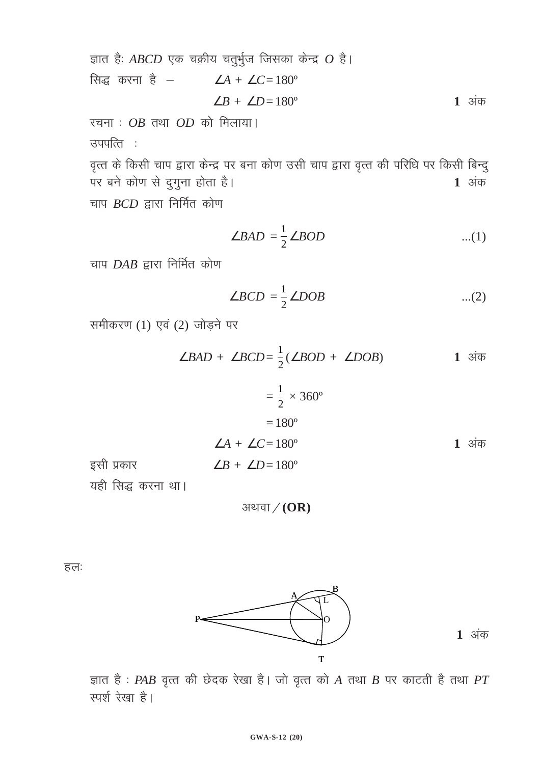ज्ञात है: ABCD एक चक्रीय चतुर्भुज जिसका केन्द्र  $O$  है। सिद्ध करना है –  $\angle A + \angle C = 180^\circ$  $\angle B + \angle D = 180^\circ$ 1 अंक

रचना:  $OB$  तथा  $OD$  को मिलाया। उपपत्ति :

वृत्त के किसी चाप द्वारा केन्द्र पर बना कोण उसी चाप द्वारा वृत्त की परिधि पर किसी बिन्दु पर बने कोण से दुगुना होता है।  $1 \overline{31}$ चाप  $BCD$  द्वारा निर्मित कोण

$$
\angle BAD = \frac{1}{2} \angle BOD \qquad \qquad \dots (1)
$$

चाप  $DAB$  द्वारा निर्मित कोण

$$
\angle BCD = \frac{1}{2} \angle DOB \qquad \qquad ...(2)
$$

समीकरण (1) एवं (2) जोड़ने पर

$$
\angle BAD + \angle BCD = \frac{1}{2}(\angle BOD + \angle DOB)
$$
 1 3 $\overline{4}\overline{B}$ 

$$
= \frac{1}{2} \times 360^{\circ}
$$
  
= 180<sup>°</sup>  

$$
\angle A + \angle C = 180^{\circ}
$$
  
= 180<sup>°</sup>  

$$
\angle B + \angle D = 180^{\circ}
$$
  
28  
1 34 $\overline{a}$   
35  
1 34 $\overline{a}$ 

अथवा $/(OR)$ 

हल:



 $1 \overline{31}$ 

ज्ञात है: PAB वृत्त की छेदक रेखा है। जो वृत्त को A तथा B पर काटती है तथा PT स्पर्श रेखा है।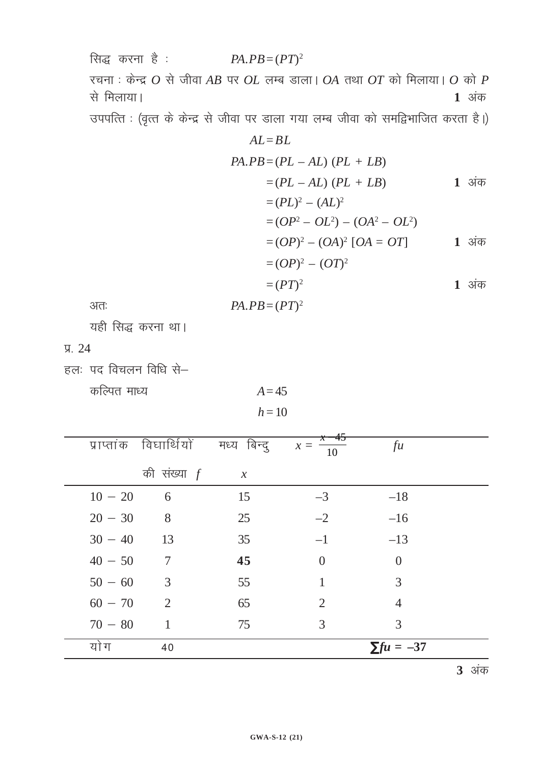सिद्ध करना है :  $PA.PB = (PT)^2$ रचना: केन्द्र  $O$  से जीवा AB पर  $OL$  लम्ब डाला।  $OA$  तथा  $OT$  को मिलाया।  $O$  को  $P$ से मिलाया। 1 अंक

उपपत्ति : (वृत्त के केन्द्र से जीवा पर डाला गया लम्ब जीवा को समद्विभाजित करता है।)

$$
AL = BL
$$
  
\n
$$
PA.PB = (PL - AL) (PL + LB)
$$
  
\n
$$
= (PL - AL) (PL + LB)
$$
  
\n
$$
= (PL)^{2} - (AL)^{2}
$$
  
\n
$$
= (OP^{2} - OL^{2}) - (OA^{2} - OL^{2})
$$
  
\n
$$
= (OP)^{2} - (OA)^{2} [OA = OT]
$$
  
\n
$$
= (OP)^{2} - (OT)^{2}
$$
  
\n
$$
= (PT)^{2}
$$
  
\n1 3i $\overline{\sigma}$   
\n
$$
PA.PB = (PT)^{2}
$$
  
\n1 3i $\overline{\sigma}$ 

अतः

यही सिद्ध करना था।

 $\Pi. 24$ 

हलः पद विचलन विधि से-

कल्पित माध्य

 $A=45$  $h=10$ 

|           | प्राप्तांक विघार्थियों | मध्य बिन्दू                | $x=45$<br>$x =$<br>$\overline{10}$ | fu                        |  |
|-----------|------------------------|----------------------------|------------------------------------|---------------------------|--|
|           | की संख्या $f$          | $\boldsymbol{\mathcal{X}}$ |                                    |                           |  |
| $10 - 20$ | 6                      | 15                         | $-3$                               | $-18$                     |  |
| $20 - 30$ | 8 <sup>8</sup>         | 25                         | $-2$                               | $-16$                     |  |
| $30 - 40$ | 13                     | 35                         | $-1$                               | $-13$                     |  |
| $40 - 50$ | $\overline{7}$         | 45                         | $\theta$                           | $\theta$                  |  |
| $50 - 60$ | 3                      | 55                         |                                    | 3                         |  |
| $60 - 70$ | $\overline{2}$         | 65                         | $\overline{2}$                     | $\overline{4}$            |  |
| $70 - 80$ | 1                      | 75                         | 3                                  | 3                         |  |
| यो ग      | 40                     |                            |                                    | $\Sigma \text{f} u = -37$ |  |